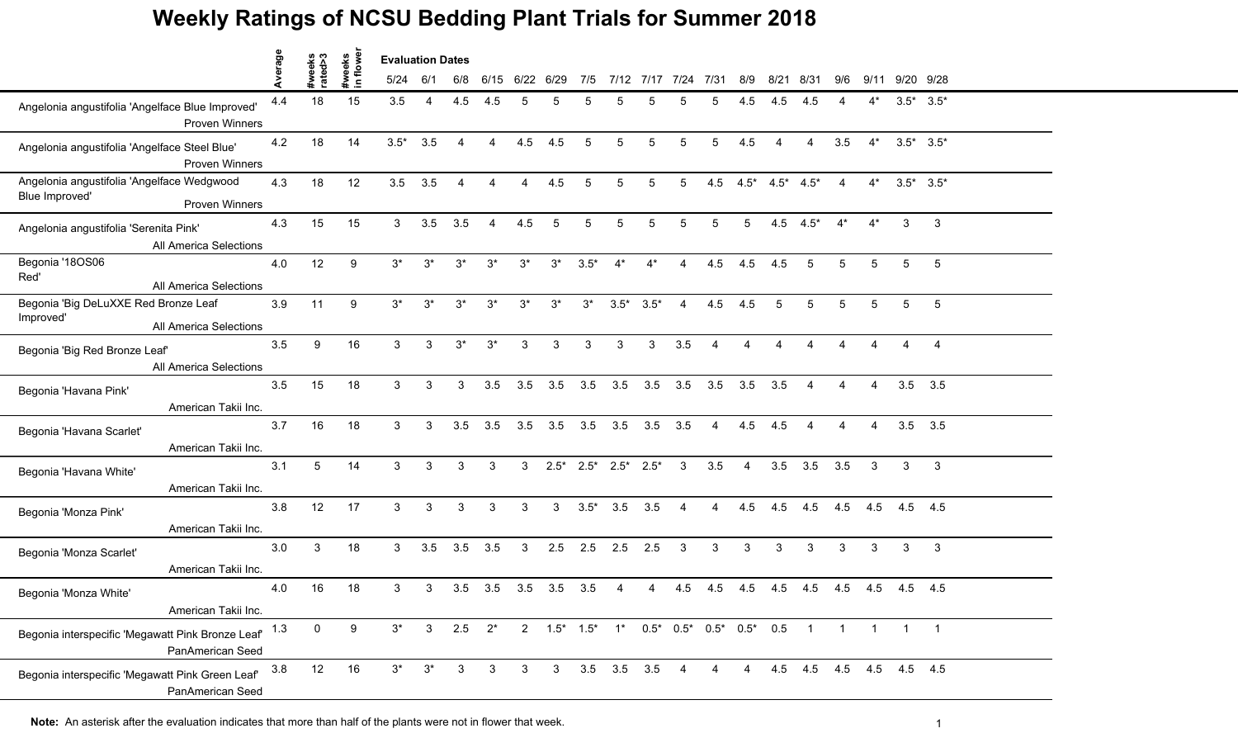|                                                                                           |         |                   |                    | <b>Evaluation Dates</b> |                |                |                |       |              |              |                                                |                     |                |                        |                |                         |                         |                |                |                 |                |
|-------------------------------------------------------------------------------------------|---------|-------------------|--------------------|-------------------------|----------------|----------------|----------------|-------|--------------|--------------|------------------------------------------------|---------------------|----------------|------------------------|----------------|-------------------------|-------------------------|----------------|----------------|-----------------|----------------|
|                                                                                           | Average | #weeks<br>rated>3 | #weeks<br>in flowe | 5/24                    | 6/1            | 6/8            | 6/15           |       | 6/22 6/29    | 7/5          |                                                | 7/12 7/17 7/24 7/31 |                |                        | 8/9            | 8/21                    | 8/31                    | 9/6            |                | 9/11 9/20 9/28  |                |
| Angelonia angustifolia 'Angelface Blue Improved'<br><b>Proven Winners</b>                 | 4.4     | 18                | 15                 | 3.5                     | $\overline{4}$ | 4.5            | 4.5            | 5     | 5            |              | 5                                              |                     | 5              |                        | 4.5            | 4.5                     | -4.5                    |                | $4^*$          | $3.5^*$ $3.5^*$ |                |
| Angelonia angustifolia 'Angelface Steel Blue'<br><b>Proven Winners</b>                    | 4.2     | 18                | 14                 | $3.5*$                  | 3.5            | $\overline{4}$ | 4              | 4.5   | 4.5          | 5            | 5                                              | 5                   | 5              | 5                      | 4.5            | $\overline{4}$          | 4                       | 3.5            | $4^*$          | $3.5^*$ $3.5^*$ |                |
| Angelonia angustifolia 'Angelface Wedgwood<br>Blue Improved'                              | 4.3     | 18                | 12                 | 3.5                     | 3.5            | $\overline{A}$ | $\overline{4}$ | 4     | 4.5          | 5            | 5                                              | 5                   | 5              | 4.5                    |                | $4.5^*$ $4.5^*$ $4.5^*$ |                         | $\overline{4}$ | $4^*$          | $3.5^*$ $3.5^*$ |                |
| <b>Proven Winners</b><br>Angelonia angustifolia 'Serenita Pink'<br>All America Selections | 4.3     | 15                | 15                 | 3                       | 3.5            | 3.5            | $\overline{4}$ | 4.5   | 5            | 5            | 5                                              | 5                   | 5              | 5                      | $5^{\circ}$    |                         | $4.5$ $4.5^*$           | $4^*$          | $4^*$          | 3               | 3              |
| Begonia '18OS06<br>Red'<br>All America Selections                                         | 4.0     | 12                | 9                  | $3^*$                   | $3^*$          | $3^*$          | $3^*$          | $3^*$ | $3^*$        | $3.5*$       | $4^*$                                          | $4^*$               |                | 4.5                    | 4.5            | 4.5                     | 5                       | 5              | 5              | 5               | 5              |
| Begonia 'Big DeLuXXE Red Bronze Leaf<br>Improved'<br>All America Selections               | 3.9     | 11                | 9                  | $3^*$                   | $3^*$          | $3^*$          | $3^*$          | $3^*$ | $3^*$        | $3^*$        | $3.5*$                                         | $3.5*$              | $\overline{4}$ | 4.5                    | 4.5            | 5                       | 5                       | 5              | 5              | 5               | 5              |
| Begonia 'Big Red Bronze Leaf'<br>All America Selections                                   | 3.5     | 9                 | 16                 | 3                       | $\mathbf{3}$   | $3^*$          | $3^*$          | 3     | 3            | $\mathbf{3}$ | 3                                              | 3                   | 3.5            | $\boldsymbol{\Lambda}$ | 4              | 4                       | 4                       | 4              | 4              | $\overline{4}$  | $\overline{4}$ |
| Begonia 'Havana Pink'<br>American Takii Inc.                                              | 3.5     | 15                | 18                 | 3                       | 3              | 3              | 3.5            | 3.5   | 3.5          | 3.5          | 3.5                                            | 3.5                 | 3.5            | 3.5                    | 3.5            | 3.5                     | 4                       | 4              | $\overline{4}$ | $3.5$ $3.5$     |                |
| Begonia 'Havana Scarlet'<br>American Takii Inc.                                           | 3.7     | 16                | 18                 | 3                       | 3              | 3.5            | 3.5            | 3.5   | 3.5          | 3.5          | 3.5                                            | 3.5                 | 3.5            | $\boldsymbol{\Lambda}$ | 4.5            | 4.5                     |                         |                |                | $3.5$ $3.5$     |                |
| Begonia 'Havana White'<br>American Takii Inc.                                             | 3.1     | $5\overline{)}$   | 14                 | 3                       | 3              | 3              | 3              | 3     |              |              | $2.5^*$ $2.5^*$ $2.5^*$ $2.5^*$                |                     | 3              | 3.5                    | $\overline{A}$ | 3.5                     | 3.5                     | 3.5            | $\mathbf{3}$   | 3               | 3              |
| Begonia 'Monza Pink'<br>American Takii Inc.                                               | 3.8     | 12                | 17                 | 3                       | $\mathbf{3}$   | $\mathbf{3}$   | 3              | 3     | 3            | $3.5*$       | 3.5                                            | 3.5                 | $\overline{A}$ | $\overline{4}$         | 4.5            | 4.5                     | 4.5                     | 4.5            | 4.5            | 4.5 4.5         |                |
| Begonia 'Monza Scarlet'<br>American Takii Inc.                                            | 3.0     | 3                 | 18                 | 3                       | 3.5            | 3.5            | 3.5            | 3     | 2.5          | 2.5          | 2.5                                            | 2.5                 | 3              | 3                      | 3              | 3                       | 3                       | 3              | 3              | 3               | $\mathbf{3}$   |
| Begonia 'Monza White'<br>American Takii Inc.                                              | 4.0     | 16                | 18                 | 3                       | 3              | 3.5            | 3.5            | 3.5   | 3.5          | 3.5          | 4                                              | 4                   | 4.5            | 4.5                    | 4.5            | 4.5                     | 4.5                     | 4.5            | 4.5            | 4.5             | 4.5            |
| Begonia interspecific 'Megawatt Pink Bronze Leaf'<br>PanAmerican Seed                     | 1.3     | $\mathbf 0$       | 9                  | $3^*$                   | 3              | 2.5            | $2^*$          |       |              |              | 2  1.5*  1.5*  1*  0.5*  0.5*  0.5*  0.5*  0.5 |                     |                |                        |                |                         | $\overline{1}$          | $\mathbf{1}$   |                |                 | $\overline{1}$ |
| Begonia interspecific 'Megawatt Pink Green Leaf'<br>PanAmerican Seed                      | 3.8     | 12                | 16                 | $3^*$                   | $3^*$          | 3              | 3              | 3     | $\mathbf{3}$ |              | 3.5 3.5 3.5                                    |                     | 4              |                        | $\overline{4}$ |                         | 4.5 4.5 4.5 4.5 4.5 4.5 |                |                |                 |                |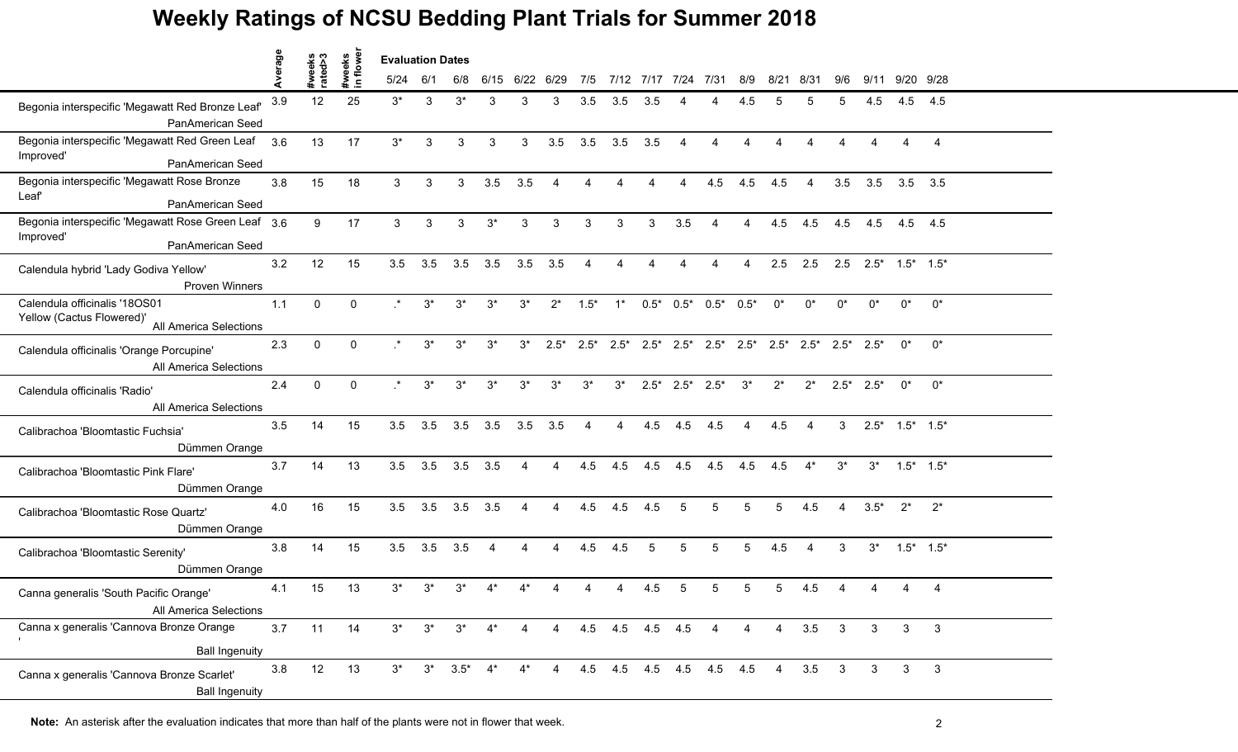|                                                                                      | verage |                   |                    | <b>Evaluation Dates</b> |       |                     |                        |                |                        |        |                   |                     |                         |                         |                        |                |                                                                         |                         |                   |                   |                |  |
|--------------------------------------------------------------------------------------|--------|-------------------|--------------------|-------------------------|-------|---------------------|------------------------|----------------|------------------------|--------|-------------------|---------------------|-------------------------|-------------------------|------------------------|----------------|-------------------------------------------------------------------------|-------------------------|-------------------|-------------------|----------------|--|
|                                                                                      |        | #weeks<br>rated>3 | #weeks<br>in flowe | 5/24                    | 6/1   | 6/8                 | 6/15                   |                | 6/22 6/29              | 7/5    |                   | 7/12 7/17 7/24 7/31 |                         |                         | 8/9                    | 8/21           | 8/31                                                                    | 9/6                     |                   | 9/11 9/20 9/28    |                |  |
| Begonia interspecific 'Megawatt Red Bronze Leaf'<br><b>PanAmerican Seed</b>          | 3.9    | 12                | 25                 | $3^*$                   | 3     | $3^*$               | 3                      | 3              | 3                      | 3.5    | 3.5               | 3.5                 |                         |                         |                        |                |                                                                         |                         | 4.5               | 4.5               | 4.5            |  |
| Begonia interspecific 'Megawatt Red Green Leaf<br>Improved'<br>PanAmerican Seed      | 3.6    | 13                | 17                 | $3^*$                   | 3     | 3                   | 3                      | 3              | 3.5                    | 3.5    | 3.5               | 3.5                 | $\overline{4}$          | $\mathbf 4$             |                        |                |                                                                         |                         |                   | $\Delta$          | $\overline{4}$ |  |
| Begonia interspecific 'Megawatt Rose Bronze<br>Leaf'<br><b>PanAmerican Seed</b>      | 3.8    | 15                | 18                 | 3                       | 3     | 3                   | 3.5                    | 3.5            | $\boldsymbol{\Lambda}$ |        |                   |                     | $\Delta$                | 4.5                     | 4.5                    | 4.5            | 4                                                                       | 3.5                     | 3.5               | $3.5$ $3.5$       |                |  |
| Begonia interspecific 'Megawatt Rose Green Leaf 3.6<br>Improved'<br>PanAmerican Seed |        | 9                 | 17                 | 3                       | 3     | 3                   | $3^*$                  | 3              | 3                      | 3      | 3                 | 3                   | 3.5                     | 4                       | $\boldsymbol{\Lambda}$ | 4.5            | 4.5                                                                     | 4.5                     | 4.5               | 4.5               | 4.5            |  |
| Calendula hybrid 'Lady Godiva Yellow'<br><b>Proven Winners</b>                       | 3.2    | 12                | 15                 | 3.5                     | 3.5   | 3.5                 | 3.5                    | 3.5            | 3.5                    |        |                   |                     |                         |                         |                        | 2.5            | 2.5                                                                     | 2.5                     | $2.5^*$ 1.5* 1.5* |                   |                |  |
| Calendula officinalis '18OS01<br>Yellow (Cactus Flowered)'<br>All America Selections | 1.1    | $\mathbf 0$       | $\mathbf{0}$       | $\star$                 | $3^*$ | $3^*$               | $3^*$                  | $3^*$          | $2^*$                  | $1.5*$ | $1^*$             | $0.5*$              | $0.5^*$                 | $0.5*$                  | $0.5*$                 | $0^*$          | $0^*$                                                                   | $0^*$                   | $0^*$             | $0^*$             | $0^*$          |  |
| Calendula officinalis 'Orange Porcupine'<br>All America Selections                   | 2.3    | 0                 | $\mathbf 0$        | $\star$                 | $3^*$ | $3^*$               | $3^*$                  | $3^*$          | $2.5*$                 | $2.5*$ | $2.5*$            |                     |                         |                         |                        |                | $2.5^*$ $2.5^*$ $2.5^*$ $2.5^*$ $2.5^*$ $2.5^*$ $2.5^*$ $2.5^*$ $2.5^*$ |                         |                   | $0^*$             | $0^*$          |  |
| Calendula officinalis 'Radio'<br>All America Selections                              | 2.4    | $\mathbf{0}$      | $\mathbf{0}$       | $\star$                 | $3^*$ | $3^*$               | $3^*$                  | $3^*$          | $3^*$                  | $3^*$  | $3^*$             |                     | $2.5^*$ $2.5^*$ $2.5^*$ |                         | $3^*$                  | $2^*$          | $2^*$                                                                   |                         | $2.5^*$ 2.5*      | $0^*$             | $0^*$          |  |
| Calibrachoa 'Bloomtastic Fuchsia'<br>Dümmen Orange                                   | 3.5    | 14                | 15                 | 3.5                     | 3.5   | 3.5                 | 3.5                    | 3.5            | 3.5                    |        |                   | 4.5                 | 4.5                     | 4.5                     |                        | 4.5            | Δ                                                                       | 3                       |                   | $2.5^*$ 1.5* 1.5* |                |  |
| Calibrachoa 'Bloomtastic Pink Flare'<br>Dümmen Orange                                | 3.7    | 14                | 13                 | 3.5                     | 3.5   | 3.5                 | 3.5                    | $\overline{4}$ | $\overline{a}$         | 4.5    | 4.5               | 4.5                 | 4.5                     | 4.5                     | 4.5                    | 4.5            | $4^*$                                                                   | $3^*$                   | $3^*$             | $1.5^*$ $1.5^*$   |                |  |
| Calibrachoa 'Bloomtastic Rose Quartz'<br>Dümmen Orange                               | 4.0    | 16                | 15                 | 3.5                     | 3.5   | 3.5                 | 3.5                    | 4              | $\overline{A}$         | 4.5    | 4.5               | 4.5                 | 5                       | 5                       | 5                      | 5              | 4.5                                                                     | $\overline{4}$          | $3.5*$            | $2^*$             | $2^*$          |  |
| Calibrachoa 'Bloomtastic Serenity'<br>Dümmen Orange                                  | 3.8    | 14                | 15                 | 3.5                     | 3.5   | 3.5                 | $\boldsymbol{\Lambda}$ | 4              | $\overline{a}$         | 4.5    | 4.5               | 5                   | 5                       | 5                       | 5                      | 4.5            | 4                                                                       | 3                       | $3^*$             | $1.5^*$ $1.5^*$   |                |  |
| Canna generalis 'South Pacific Orange'<br>All America Selections                     | 4.1    | 15                | 13                 | $3^*$                   | $3^*$ | $3^*$               |                        |                |                        |        |                   | 4.5                 | 5                       |                         | 5                      | 5              | 4.5                                                                     |                         |                   |                   | 4              |  |
| Canna x generalis 'Cannova Bronze Orange<br><b>Ball Ingenuity</b>                    | 3.7    | 11                | 14                 | $3^*$                   | $3^*$ | $3^*$               | $4^*$                  | $\overline{4}$ | $\overline{4}$         |        | 4.5 4.5 4.5 4.5 4 |                     |                         |                         | 4                      | $\overline{4}$ | 3.5                                                                     | $\overline{\mathbf{3}}$ | $\mathbf{3}$      | 3 <sup>7</sup>    | 3              |  |
| Canna x generalis 'Cannova Bronze Scarlet'<br><b>Ball Ingenuity</b>                  | 3.8    | 12                | 13                 | $3^*$                   |       | $3^*$ $3.5^*$ $4^*$ |                        | $4^*$          | $\overline{4}$         |        |                   |                     |                         | 4.5 4.5 4.5 4.5 4.5 4.5 |                        | $\overline{4}$ | $3.5\qquad 3$                                                           |                         | 3                 | $\mathbf{3}$      | $\mathbf{3}$   |  |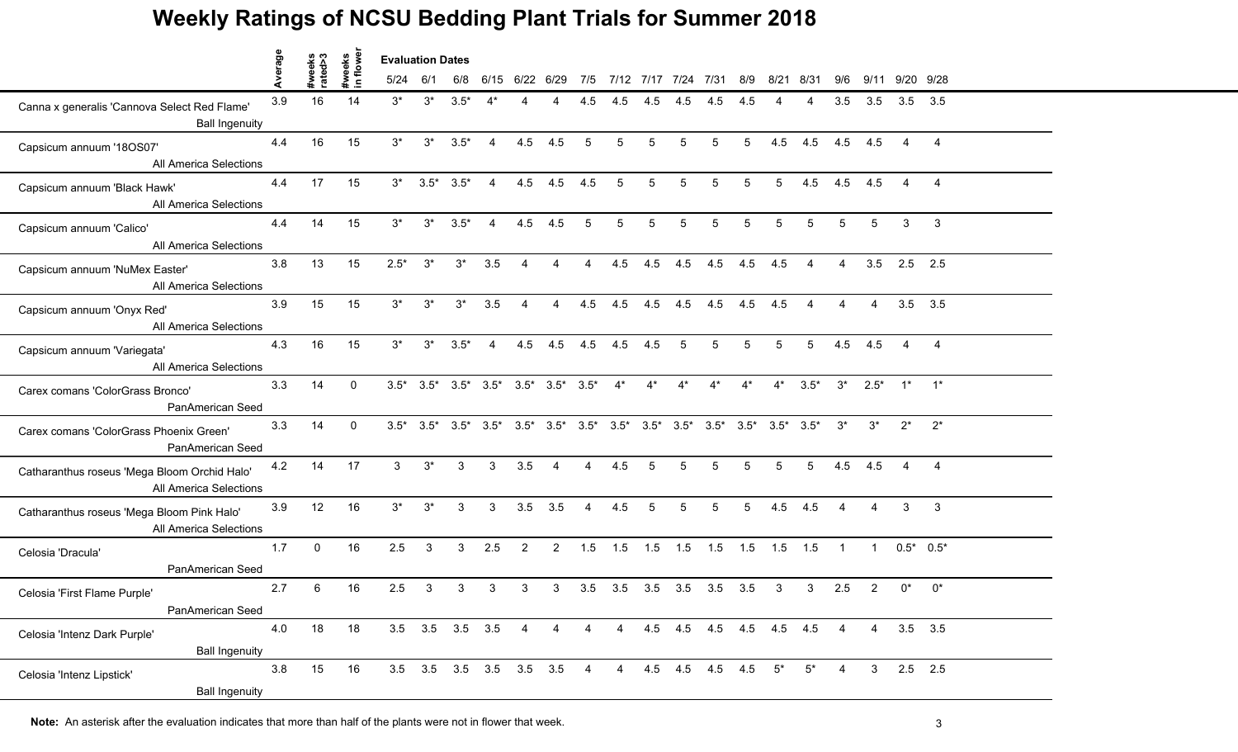|                                                                        | erage |                   |                    | <b>Evaluation Dates</b> |                 |                 |                                                                                                                 |                |                |                |                |             |                     |                      |                 |           |                           |                |                        |               |                |
|------------------------------------------------------------------------|-------|-------------------|--------------------|-------------------------|-----------------|-----------------|-----------------------------------------------------------------------------------------------------------------|----------------|----------------|----------------|----------------|-------------|---------------------|----------------------|-----------------|-----------|---------------------------|----------------|------------------------|---------------|----------------|
|                                                                        |       | #weeks<br>rated>3 | #weeks<br>in flowe | 5/24                    | 6/1             | 6/8             |                                                                                                                 | 6/15 6/22 6/29 |                | 7/5            |                |             | 7/12 7/17 7/24 7/31 |                      | 8/9             | 8/21      | 8/31                      | 9/6            | 9/11                   | 9/20 9/28     |                |
| Canna x generalis 'Cannova Select Red Flame'<br><b>Ball Ingenuity</b>  | 3.9   | 16                | 14                 | $3^*$                   | $3^*$           | $3.5*$          |                                                                                                                 |                |                | 4.5            | 4.5            | 4.5         | 4.5                 | 4.5                  | 4.5             |           |                           | 3.5            | 3.5                    | $3.5$ $3.5$   |                |
| Capsicum annuum '18OS07'<br>All America Selections                     | 4.4   | 16                | 15                 | $3^*$                   | $3^*$           | $3.5*$          | $\overline{4}$                                                                                                  | 4.5            | 4.5            | 5              | 5              | 5           | $5\overline{)}$     | $5^{\circ}$          | $5\overline{)}$ | 4.5       | 4.5                       | 4.5            | 4.5                    |               | $\overline{A}$ |
| Capsicum annuum 'Black Hawk'<br>All America Selections                 | 4.4   | 17                | 15                 | $3^*$                   |                 | $3.5^*$ $3.5^*$ | $\overline{4}$                                                                                                  | 4.5            | 4.5            | 4.5            | 5              | $5^{\circ}$ | $5^{\circ}$         | 5                    | 5               | 5         | 4.5                       | 4.5            | 4.5                    |               | $\overline{4}$ |
| Capsicum annuum 'Calico'<br>All America Selections                     | 4.4   | 14                | 15                 | $3^*$                   | $3^*$           | $3.5*$          | $\overline{4}$                                                                                                  | 4.5            | 4.5            | 5              | 5              | 5           | 5                   | 5                    | 5               | 5         | 5                         | 5              | 5                      | 3             | 3              |
| Capsicum annuum 'NuMex Easter'<br>All America Selections               | 3.8   | 13                | 15                 | $2.5*$                  | $3^*$           | $3^*$           | 3.5                                                                                                             |                |                |                | 4.5            | 4.5         | 4.5                 | 4.5                  | 4.5             | 4.5       |                           |                | 3.5                    | 2.5 2.5       |                |
| Capsicum annuum 'Onyx Red'<br>All America Selections                   | 3.9   | 15                | 15                 | $3^*$                   | $3^*$           | $3^*$           | 3.5                                                                                                             | $\overline{4}$ | $\overline{4}$ | 4.5            | 4.5            |             | $4.5$ $4.5$         | 4.5                  | 4.5             | 4.5       | 4                         | $\overline{4}$ | $\overline{4}$         | 3.5           | 3.5            |
| Capsicum annuum 'Variegata'<br>All America Selections                  | 4.3   | 16                | 15                 | $3^*$                   | $3^*$           | $3.5*$          | $\overline{4}$                                                                                                  | 4.5            | 4.5            | 4.5            | 4.5            | 4.5         | -5                  | 5                    | $5\phantom{.0}$ | 5         | $5\overline{5}$           | 4.5            | 4.5                    |               | $\overline{4}$ |
| Carex comans 'ColorGrass Bronco'<br>PanAmerican Seed                   | 3.3   | 14                | $\Omega$           |                         |                 |                 | $3.5^*$ $3.5^*$ $3.5^*$ $3.5^*$ $3.5^*$ $3.5^*$ $3.5^*$                                                         |                |                |                | $4^*$          | $4^*$       | $4^*$               | $4^*$                | $4^*$           |           | $4^*$ 3.5*                | $3^*$          | $2.5^*$ 1* 1*          |               |                |
| Carex comans 'ColorGrass Phoenix Green'<br>PanAmerican Seed            | 3.3   | 14                | $\mathbf{0}$       |                         |                 |                 | $3.5^*$ $3.5^*$ $3.5^*$ $3.5^*$ $3.5^*$ $3.5^*$ $3.5^*$ $3.5^*$ $3.5^*$ $3.5^*$ $3.5^*$ $3.5^*$ $3.5^*$ $3.5^*$ |                |                |                |                |             |                     |                      |                 |           |                           | $3^*$          | $3^*$                  | $2^*$         | $2^*$          |
| Catharanthus roseus 'Mega Bloom Orchid Halo'<br>All America Selections | 4.2   | 14                | 17                 | $\mathbf{3}$            | $3^*$           | 3               | 3                                                                                                               | 3.5            | $\overline{4}$ | $\overline{A}$ | 4.5            | 5           | $5\overline{)}$     | 5                    | $5\phantom{.0}$ | 5         | 5                         | 4.5            | 4.5                    | 4             | $\overline{4}$ |
| Catharanthus roseus 'Mega Bloom Pink Halo'<br>All America Selections   | 3.9   | 12                | 16                 | $3^*$                   | $3^*$           | 3               | 3                                                                                                               |                | $3.5$ $3.5$    | $\overline{4}$ | 4.5            | 5           | 5 <sup>5</sup>      | 5 <sup>5</sup>       | $5\overline{)}$ | 4.5       | 4.5                       | $\overline{4}$ | $\boldsymbol{\Lambda}$ | $\mathcal{S}$ | $\mathbf{3}$   |
| Celosia 'Dracula'<br>PanAmerican Seed                                  | 1.7   | $\mathbf 0$       | 16                 | 2.5                     | 3               | 3               | 2.5                                                                                                             | $\overline{2}$ | $\overline{2}$ | 1.5            | 1.5            |             | $1.5$ $1.5$ $1.5$   |                      | 1.5             | $1.5$ 1.5 |                           | $\overline{1}$ | $\overline{1}$         | $0.5^*$ 0.5*  |                |
| Celosia 'First Flame Purple'<br>PanAmerican Seed                       | 2.7   | 6                 | 16                 | 2.5                     | 3               | 3               | 3                                                                                                               | 3              | 3              | 3.5            | 3.5            | 3.5         | 3.5                 | 3.5                  | 3.5             | 3         | 3                         | 2.5            | 2                      | $0^*$         | $0^*$          |
| Celosia 'Intenz Dark Purple'<br><b>Ball Ingenuity</b>                  | 4.0   | 18                | 18                 |                         | 3.5 3.5 3.5 3.5 |                 |                                                                                                                 | 4              | 4              | $\overline{4}$ | $\overline{4}$ |             |                     |                      |                 |           | 4.5 4.5 4.5 4.5 4.5 4.5 4 |                | $\overline{4}$         | $3.5$ $3.5$   |                |
| Celosia 'Intenz Lipstick'<br><b>Ball Ingenuity</b>                     | 3.8   | 15                | 16                 |                         |                 |                 | 3.5 3.5 3.5 3.5 3.5 3.5                                                                                         |                |                | $\overline{4}$ |                |             |                     | 4 4.5 4.5 4.5 4.5 5* |                 |           | $5^*$                     | 4              | 3 <sup>1</sup>         | $2.5$ 2.5     |                |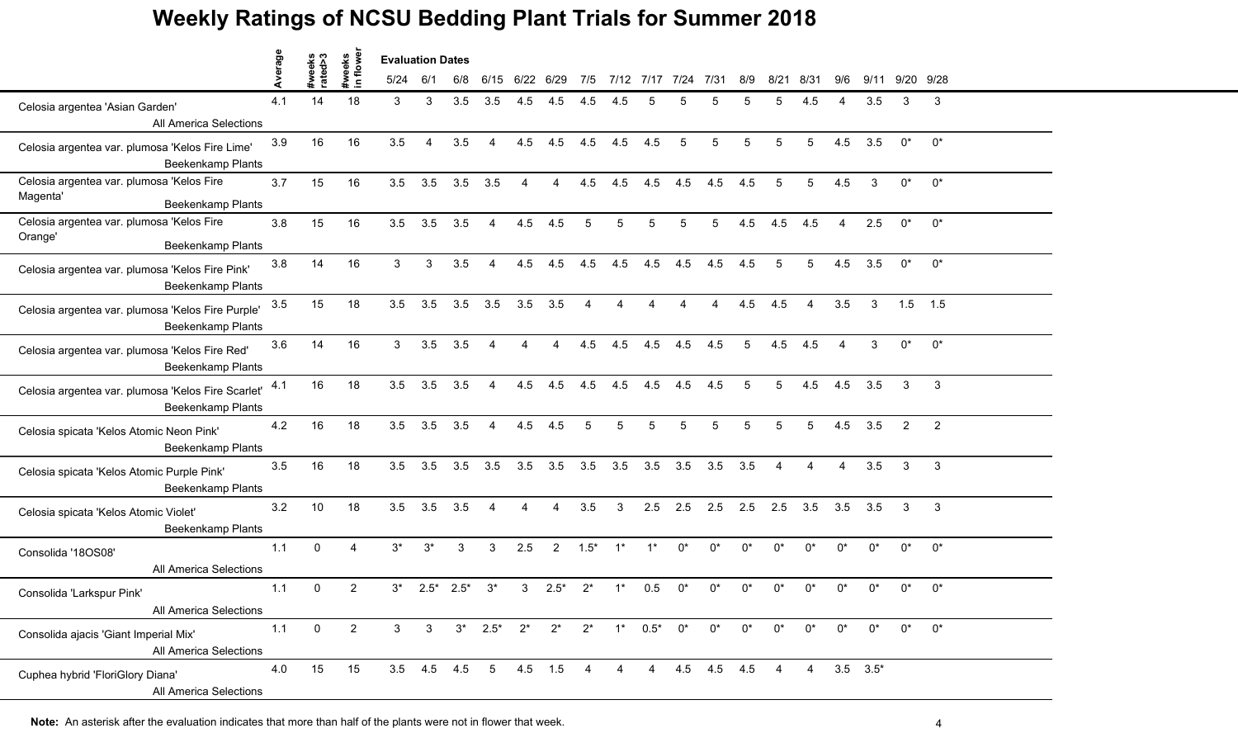|                                                                               |         |                   |                                      | <b>Evaluation Dates</b> |                        |        |                          |                |                |                |                |                |          |               |                |                |                |       |                  |                |                |  |
|-------------------------------------------------------------------------------|---------|-------------------|--------------------------------------|-------------------------|------------------------|--------|--------------------------|----------------|----------------|----------------|----------------|----------------|----------|---------------|----------------|----------------|----------------|-------|------------------|----------------|----------------|--|
|                                                                               | Average | #weeks<br>rated>3 | #weeks<br>in flowe<br>$\blacksquare$ | 5/24                    | 6/1                    | 6/8    | 6/15                     | 6/22           | 6/29           | 7/5            |                | 7/12 7/17      | 7/24     | 7/31          | 8/9            | 8/21           | 8/31           | 9/6   | 9/11             | 9/20 9/28      |                |  |
| Celosia argentea 'Asian Garden'<br>All America Selections                     | 4.1     | 14                | 18                                   | 3                       | 3                      | 3.5    | 3.5                      | 4.5            | 4.5            | 4.5            | 4.5            |                |          |               | 5              |                | 4.5            |       | 3.5              | 3              | 3              |  |
| Celosia argentea var. plumosa 'Kelos Fire Lime'<br>Beekenkamp Plants          | 3.9     | 16                | 16                                   | 3.5                     | $\boldsymbol{\Lambda}$ | 3.5    | $\overline{4}$           | 4.5            | 4.5            | 4.5            | 4.5            | 4.5            | 5        | 5             | 5              | 5              | 5              | 4.5   | 3.5              | $0^*$          | $0^*$          |  |
| Celosia argentea var. plumosa 'Kelos Fire<br>Magenta'<br>Beekenkamp Plants    | 3.7     | 15                | 16                                   | 3.5                     | 3.5                    | 3.5    | 3.5                      | $\overline{A}$ | $\overline{4}$ | 4.5            | 4.5            | 4.5            | 4.5      | 4.5           | 4.5            | 5              | 5              | 4.5   | 3                | $0^*$          | $0^*$          |  |
| Celosia argentea var. plumosa 'Kelos Fire<br>Orange'<br>Beekenkamp Plants     | 3.8     | 15                | 16                                   | 3.5                     | 3.5                    | 3.5    | $\overline{4}$           | 4.5            | 4.5            | 5              | 5              | 5              | 5        | 5             | 4.5            | 4.5            | 4.5            | 4     | 2.5              | $0^*$          | $0^*$          |  |
| Celosia argentea var. plumosa 'Kelos Fire Pink'<br>Beekenkamp Plants          | $3.8\,$ | 14                | 16                                   | 3                       | 3                      | 3.5    |                          | 4.5            | 4.5            | 4.5            | 4.5            | 4.5            | 4.5      | 4.5           | 4.5            |                | 5              | 4.5   | 3.5              | $0^*$          | $0^*$          |  |
| Celosia argentea var. plumosa 'Kelos Fire Purple'<br><b>Beekenkamp Plants</b> | 3.5     | 15                | 18                                   | 3.5                     | 3.5                    | 3.5    | 3.5                      | 3.5            | 3.5            | 4              | $\overline{4}$ | Δ              | $\Delta$ | 4             | 4.5            | 4.5            | 4              | 3.5   | 3                | 1.5            | 1.5            |  |
| Celosia argentea var. plumosa 'Kelos Fire Red'<br>Beekenkamp Plants           | 3.6     | 14                | 16                                   | 3                       | 3.5                    | 3.5    | $\overline{4}$           | $\overline{4}$ | 4              | 4.5            | 4.5            | 4.5            | 4.5      | 4.5           | $\overline{5}$ | 4.5            | 4.5            | 4     | 3                | $0^*$          | $0^*$          |  |
| Celosia argentea var. plumosa 'Kelos Fire Scarlet'<br>Beekenkamp Plants       | 4.1     | 16                | 18                                   | 3.5                     | 3.5                    | 3.5    | $\overline{4}$           | 4.5            | 4.5            | 4.5            | 4.5            | 4.5            | 4.5      | 4.5           | 5              | 5              | 4.5            | 4.5   | 3.5              | 3              | 3              |  |
| Celosia spicata 'Kelos Atomic Neon Pink'<br><b>Beekenkamp Plants</b>          | 4.2     | 16                | 18                                   | 3.5                     | 3.5                    | 3.5    | $\boldsymbol{\varDelta}$ | 4.5            | 4.5            | 5              | 5              |                | 5        |               | 5              |                | 5              | 4.5   | 3.5              | $\overline{2}$ | $\overline{2}$ |  |
| Celosia spicata 'Kelos Atomic Purple Pink'<br><b>Beekenkamp Plants</b>        | 3.5     | 16                | 18                                   | 3.5                     | 3.5                    | 3.5    | 3.5                      | 3.5            | 3.5            | 3.5            | 3.5            | 3.5            | 3.5      | 3.5           | 3.5            | $\overline{4}$ | 4              | 4     | 3.5              | 3              | 3              |  |
| Celosia spicata 'Kelos Atomic Violet'<br>Beekenkamp Plants                    | 3.2     | 10                | 18                                   | 3.5                     | 3.5                    | 3.5    | $\overline{4}$           | $\overline{A}$ | 4              | 3.5            | 3              | 2.5            | 2.5      | 2.5           | 2.5            | 2.5            | 3.5            | 3.5   | 3.5              | 3              | 3              |  |
| Consolida '18OS08'<br>All America Selections                                  | 1.1     | $\mathbf{0}$      |                                      | $3^*$                   | $3^{\star}$            | 3      | 3                        | 2.5            | $\overline{2}$ | $1.5*$         | $1^*$          | $1^*$          | $0^*$    | $0^*$         | $0^*$          | $0^*$          | $0^*$          | $0^*$ | $0^*$            | $0^*$          | $0^*$          |  |
| Consolida 'Larkspur Pink'<br>All America Selections                           | 1.1     | 0                 | $\overline{2}$                       | $3^*$                   | $2.5*$                 | $2.5*$ | $3^*$                    | 3              | $2.5*$         | $2^*$          |                | 0.5            | n*       |               | n*             |                | n*             | በ*    | $^{\circ}$       | $0^*$          | $0^*$          |  |
| Consolida ajacis 'Giant Imperial Mix'<br>All America Selections               | $1.1$   | $\overline{0}$    | $\overline{2}$                       | 3                       | $\mathbf{3}$           |        | $3^*$ 2.5* $2^*$         |                | $2^*$          |                | $2^*$ 1* 0.5*  |                | $0^*$    | $0^*$         | $0^*$          | $0^*$          | $0^*$          | $0^*$ | $0^*$            | $0^*$          | $0^*$          |  |
| Cuphea hybrid 'FloriGlory Diana'<br>All America Selections                    | 4.0     | 15                | 15                                   |                         |                        |        | 3.5 4.5 4.5 5 4.5 1.5    |                |                | $\overline{4}$ | $\overline{4}$ | $\overline{4}$ |          | 4.5 4.5 4.5 4 |                |                | $\overline{4}$ |       | $3.5\quad 3.5^*$ |                |                |  |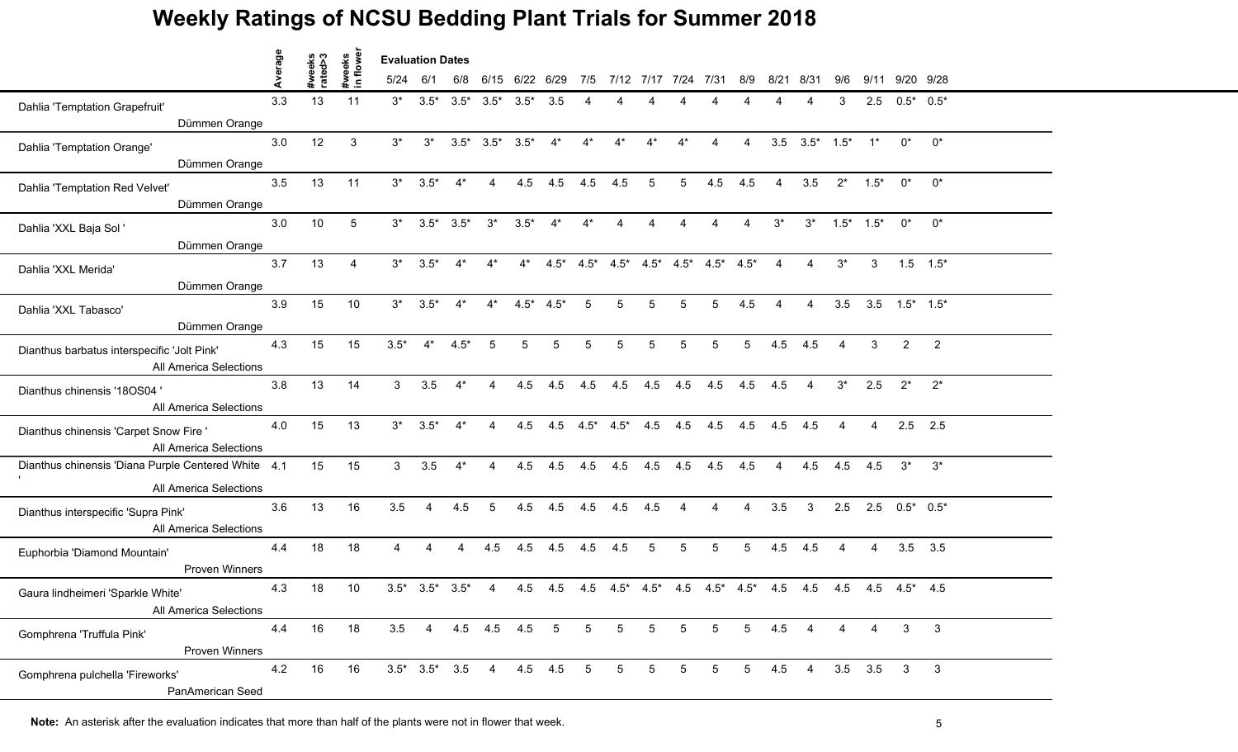|                                                                       | Average |                   |                    | <b>Evaluation Dates</b> |                         |                |                                 |                 |             |                 |                         |                 |                                 |                 |                 |                |                       |                        |                 |                       |                |  |
|-----------------------------------------------------------------------|---------|-------------------|--------------------|-------------------------|-------------------------|----------------|---------------------------------|-----------------|-------------|-----------------|-------------------------|-----------------|---------------------------------|-----------------|-----------------|----------------|-----------------------|------------------------|-----------------|-----------------------|----------------|--|
|                                                                       |         | #weeks<br>rated>3 | #weeks<br>in flowe | 5/24                    | 6/1                     | 6/8            |                                 | 6/15 6/22 6/29  |             | 7/5             | 7/12 7/17 7/24          |                 |                                 | 7/31            | 8/9             | 8/21           | 8/31                  | 9/6                    |                 | 9/11 9/20 9/28        |                |  |
| Dahlia 'Temptation Grapefruit'                                        | 3.3     | 13                | 11                 | $3^*$                   |                         |                | $3.5^*$ $3.5^*$ $3.5^*$ $3.5^*$ |                 | 3.5         |                 |                         |                 |                                 |                 |                 |                |                       | 3                      | 2.5             | $0.5^*$ 0.5*          |                |  |
| Dümmen Orange                                                         |         |                   |                    |                         |                         |                |                                 |                 |             |                 |                         |                 |                                 |                 |                 |                |                       |                        |                 |                       |                |  |
| Dahlia 'Temptation Orange'                                            | 3.0     | 12                | 3                  | $3^*$                   | $3^*$                   |                | $3.5^*$ $3.5^*$ $3.5^*$         |                 | $4^*$       | $4^*$           | $4^*$                   | $4^*$           | $4^*$                           | 4               | 4               |                | $3.5$ $3.5^*$ $1.5^*$ |                        | $1^*$           | $0^*$                 | $0^*$          |  |
| Dümmen Orange                                                         |         |                   |                    |                         |                         |                |                                 |                 |             |                 |                         |                 |                                 |                 |                 |                |                       |                        |                 |                       |                |  |
| Dahlia 'Temptation Red Velvet'                                        | 3.5     | 13                | 11                 | $3^*$                   | $3.5*$                  | $4^*$          | $\overline{4}$                  |                 | $4.5$ $4.5$ | 4.5             | 4.5                     | -5              | 5                               | 4.5             | 4.5             | $\overline{4}$ | 3.5                   | $2^*$                  | $1.5*$          | $0^*$                 | $0^*$          |  |
| Dümmen Orange                                                         |         |                   |                    |                         |                         |                |                                 |                 |             |                 |                         |                 |                                 |                 |                 |                |                       |                        |                 |                       |                |  |
| Dahlia 'XXL Baja Sol '                                                | 3.0     | 10                | 5                  |                         | $3^*$ $3.5^*$ $3.5^*$   |                | $3^*$                           | $3.5*$          | $4^*$       | $4^*$           | 4                       |                 |                                 |                 | 4               | $3^*$          |                       | $3^*$ 1.5* 1.5*        |                 | $0^*$                 | $0^*$          |  |
| Dümmen Orange                                                         |         |                   |                    |                         |                         |                |                                 |                 |             |                 |                         |                 |                                 |                 |                 |                |                       |                        |                 |                       |                |  |
| Dahlia 'XXL Merida'                                                   | 3.7     | 13                |                    | $3^*$                   | $3.5*$                  |                |                                 |                 |             |                 | $4.5^*$ $4.5^*$ $4.5^*$ |                 | $4.5^*$ $4.5^*$ $4.5^*$ $4.5^*$ |                 |                 |                |                       | $3^*$                  | 3               |                       | $1.5$ $1.5^*$  |  |
| Dümmen Orange                                                         |         |                   |                    |                         |                         |                |                                 |                 |             |                 |                         |                 |                                 |                 |                 |                |                       |                        |                 |                       |                |  |
| Dahlia 'XXL Tabasco'                                                  | 3.9     | 15                | 10                 | $3^*$                   | $3.5*$                  | $4^*$          | $4^*$                           | $4.5^*$ $4.5^*$ |             | 5               | 5                       | 5               | 5                               | $5\phantom{.0}$ | 4.5             | $\overline{4}$ | $\overline{4}$        | 3.5                    |                 | $3.5$ $1.5^*$ $1.5^*$ |                |  |
| Dümmen Orange                                                         |         |                   |                    |                         |                         |                |                                 |                 |             |                 |                         |                 |                                 |                 |                 |                |                       |                        |                 |                       |                |  |
| Dianthus barbatus interspecific 'Jolt Pink'<br>All America Selections | 4.3     | 15                | 15                 | $3.5*$                  | $4^*$                   | $4.5*$         | 5                               | 5               | 5           | $\overline{5}$  | 5                       | 5               | 5                               | 5               | $5\phantom{.0}$ | 4.5            | 4.5                   | $\boldsymbol{\Lambda}$ | 3               | $\overline{2}$        | $\overline{2}$ |  |
|                                                                       | 3.8     | 13                | 14                 | 3 <sup>1</sup>          | 3.5                     | $4^*$          | 4                               | 4.5             | 4.5         | 4.5             | 4.5                     | 4.5             | 4.5                             | 4.5             | 4.5             | 4.5            | $\overline{4}$        | $3^*$                  | 2.5             | $2^*$                 | $2^*$          |  |
| Dianthus chinensis '180S04'<br>All America Selections                 |         |                   |                    |                         |                         |                |                                 |                 |             |                 |                         |                 |                                 |                 |                 |                |                       |                        |                 |                       |                |  |
| Dianthus chinensis 'Carpet Snow Fire '<br>All America Selections      | 4.0     | 15                | 13                 | $3^*$                   | $3.5*$                  | $4^*$          |                                 | 4.5             | 4.5         | $4.5^*$ $4.5^*$ |                         | 4.5             | 4.5                             | 4.5             | 4.5             | 4.5            | 4.5                   |                        |                 |                       | $2.5$ 2.5      |  |
| Dianthus chinensis 'Diana Purple Centered White 4.1                   |         | 15                | 15                 | 3 <sup>1</sup>          | 3.5                     | $4^*$          | $\overline{4}$                  | 4.5             | 4.5         | 4.5             | 4.5                     | 4.5             | 4.5                             | 4.5             | 4.5             | $\overline{4}$ | 4.5                   | 4.5                    | 4.5             | $3^*$                 | $3^*$          |  |
| All America Selections                                                |         |                   |                    |                         |                         |                |                                 |                 |             |                 |                         |                 |                                 |                 |                 |                |                       |                        |                 |                       |                |  |
| Dianthus interspecific 'Supra Pink'<br>All America Selections         | 3.6     | 13                | 16                 | 3.5                     | $\overline{4}$          | 4.5            | -5                              | 4.5             | 4.5         | 4.5             | 4.5                     | 4.5             | $\overline{4}$                  | $\overline{4}$  | $\overline{4}$  | 3.5            | $\mathbf{3}$          | 2.5                    |                 | $2.5$ $0.5^*$ $0.5^*$ |                |  |
| Euphorbia 'Diamond Mountain'<br>Proven Winners                        | 4.4     | 18                | 18                 |                         |                         | $\overline{4}$ | 4.5                             | 4.5             | 4.5         | 4.5             | 4.5                     | 5               | 5                               | 5               | 5               | 4.5            | 4.5                   | $\boldsymbol{\Lambda}$ | 4               |                       | $3.5$ $3.5$    |  |
| Gaura lindheimeri 'Sparkle White'<br>All America Selections           | 4.3     | 18                | 10                 |                         | $3.5^*$ $3.5^*$ $3.5^*$ |                | $\overline{4}$                  | 4.5             | 4.5         | 4.5             | $4.5^*$                 | $4.5*$          | 4.5                             | $4.5^*$ $4.5^*$ |                 | 4.5            | 4.5                   | 4.5                    |                 | $4.5$ $4.5^*$ $4.5$   |                |  |
| Gomphrena 'Truffula Pink'<br>Proven Winners                           | 4.4     | 16                | 18                 | $3.5 \quad 4$           |                         |                | 4.5 4.5 4.5 5                   |                 |             | 5 <sup>5</sup>  | $5\overline{)}$         | $5\overline{)}$ | $5\overline{)}$                 | 5 <sup>5</sup>  | 5 <sup>5</sup>  | 4.5            | $\overline{4}$        | 4                      | 4               | $\mathbf{3}$          | 3              |  |
| Gomphrena pulchella 'Fireworks'<br>PanAmerican Seed                   | 4.2     | 16                | 16                 |                         |                         |                | $3.5^*$ $3.5^*$ $3.5$ 4         |                 | 4.5 4.5 5   |                 | 5 <sup>5</sup>          | 5 <sup>5</sup>  | 5 <sub>5</sub>                  | 5 <sub>5</sub>  | 5 <sup>5</sup>  |                | $4.5 \t 4$            |                        | $3.5$ $3.5$ $3$ |                       | $\mathbf{3}$   |  |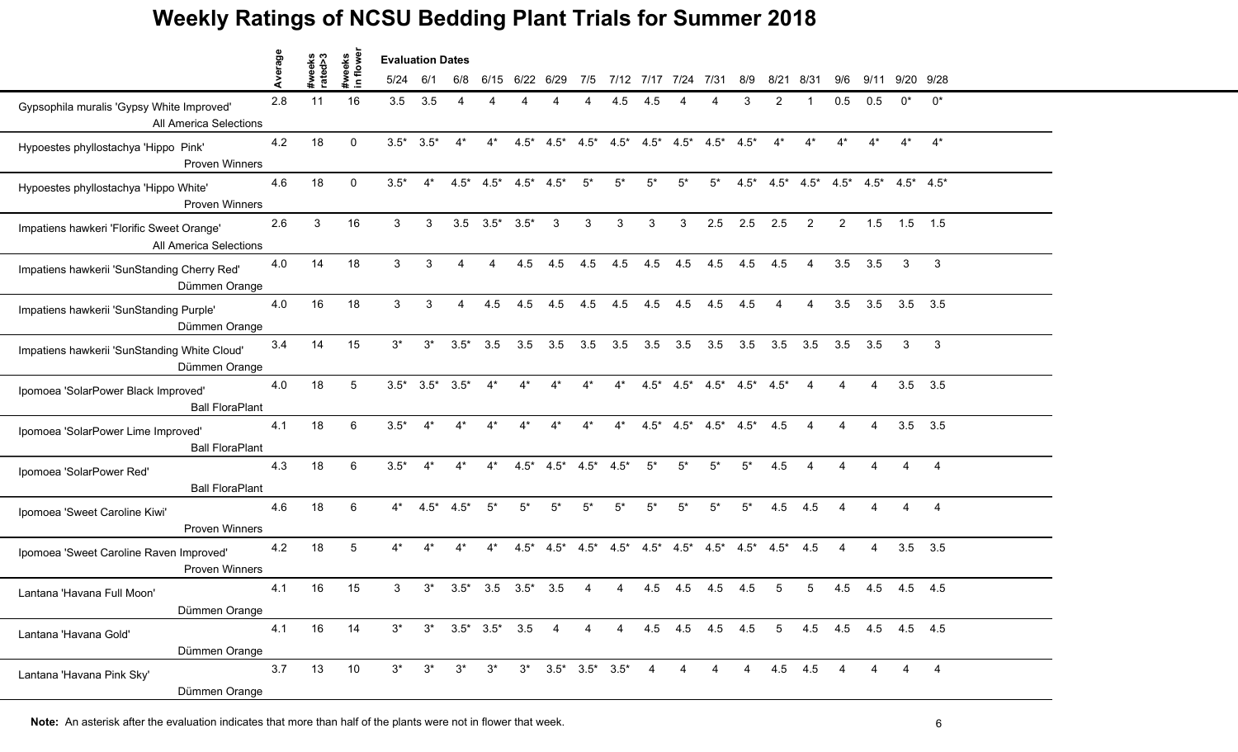|                                                                     | verage |                   | owe<br>weeks   | <b>Evaluation Dates</b> |                         |                 |                               |                 |                                 |        |        |                |                                         |            |                |                |                        |                |       |                                                                 |                |  |
|---------------------------------------------------------------------|--------|-------------------|----------------|-------------------------|-------------------------|-----------------|-------------------------------|-----------------|---------------------------------|--------|--------|----------------|-----------------------------------------|------------|----------------|----------------|------------------------|----------------|-------|-----------------------------------------------------------------|----------------|--|
|                                                                     |        | #weeks<br>rated>3 | $\blacksquare$ | 5/24                    | 6/1                     | 6/8             |                               | 6/15 6/22 6/29  |                                 |        |        |                | 7/5 7/12 7/17 7/24 7/31                 |            | 8/9            |                | 8/21 8/31              | 9/6            | 9/11  | 9/20 9/28                                                       |                |  |
| Gypsophila muralis 'Gypsy White Improved'<br>All America Selections | 2.8    | 11                | 16             | 3.5                     | 3.5                     |                 |                               |                 |                                 |        | 4.5    |                |                                         |            |                |                |                        | 0.5            | 0.5   |                                                                 | $0^*$          |  |
| Hypoestes phyllostachya 'Hippo Pink'<br><b>Proven Winners</b>       | 4.2    | 18                | $\Omega$       | $3.5*$                  | $3.5*$                  | $4^*$           | $4^*$                         |                 | $4.5^*$ $4.5^*$ $4.5^*$         |        |        |                | $4.5^*$ $4.5^*$ $4.5^*$ $4.5^*$ $4.5^*$ |            |                | $4^*$          | $4^*$                  | $4^*$          | $4^*$ | $4^*$                                                           | $4^*$          |  |
| Hypoestes phyllostachya 'Hippo White'<br><b>Proven Winners</b>      | 4.6    | 18                | $\Omega$       | $3.5*$                  | $4^*$                   |                 | $4.5^*$ $4.5^*$               | $4.5^*$ $4.5^*$ |                                 | $5^*$  | $5^*$  | $5^*$          | $5^*$                                   | $5^*$      |                |                |                        |                |       | $4.5^*$ $4.5^*$ $4.5^*$ $4.5^*$ $4.5^*$ $4.5^*$ $4.5^*$ $4.5^*$ |                |  |
| Impatiens hawkeri 'Florific Sweet Orange'<br>All America Selections | 2.6    | 3                 | 16             | 3                       | 3                       |                 | $3.5\quad 3.5^*$              | $3.5*$          | 3                               | 3      | 3      | 3              | 3                                       | 2.5        | 2.5            | 2.5            | $\overline{2}$         | $\overline{2}$ | 1.5   | $1.5$ 1.5                                                       |                |  |
| Impatiens hawkerii 'SunStanding Cherry Red'<br>Dümmen Orange        | 4.0    | 14                | 18             | 3                       | $\mathcal{S}$           |                 |                               | 4.5             | 4.5                             | 4.5    | 4.5    | 4.5            | 4.5                                     | 4.5        | 4.5            | 4.5            | Δ                      | 3.5            | 3.5   | 3                                                               | 3              |  |
| Impatiens hawkerii 'SunStanding Purple'<br>Dümmen Orange            | 4.0    | 16                | 18             | 3                       | 3                       | 4               | 4.5                           | 4.5             | 4.5                             | 4.5    | 4.5    | 4.5            | 4.5                                     | 4.5        | 4.5            | $\overline{4}$ | 4                      | 3.5            | 3.5   | 3.5                                                             | 3.5            |  |
| Impatiens hawkerii 'SunStanding White Cloud'<br>Dümmen Orange       | 3.4    | 14                | 15             | $3^*$                   | $3^*$                   | $3.5*$          | 3.5                           | 3.5             | 3.5                             | 3.5    | 3.5    | 3.5            | 3.5                                     | 3.5        | 3.5            | 3.5            | 3.5                    | 3.5            | 3.5   | 3                                                               | 3              |  |
| Ipomoea 'SolarPower Black Improved'<br><b>Ball FloraPlant</b>       | 4.0    | 18                | 5              |                         | $3.5^*$ $3.5^*$ $3.5^*$ |                 | $4^*$                         | $4^*$           | $4^*$                           | $4^*$  | $4^*$  |                | $4.5^*$ $4.5^*$ $4.5^*$ $4.5^*$ $4.5^*$ |            |                |                | Δ                      | 4              | 4     | $3.5$ $3.5$                                                     |                |  |
| Ipomoea 'SolarPower Lime Improved'<br><b>Ball FloraPlant</b>        | 4.1    | 18                | 6              | $3.5*$                  |                         |                 |                               |                 |                                 |        |        |                | $4.5^*$ $4.5^*$ $4.5^*$ $4.5^*$         |            |                | 4.5            |                        |                |       |                                                                 | $3.5$ $3.5$    |  |
| Ipomoea 'SolarPower Red'<br><b>Ball FloraPlant</b>                  | 4.3    | 18                | 6              | $3.5*$                  | $4^*$                   | $4^*$           | $4^*$                         |                 | $4.5^*$ $4.5^*$ $4.5^*$ $4.5^*$ |        |        | $5^*$          | $5^*$                                   | $5^*$      | $5^*$          | 4.5            | $\boldsymbol{\Lambda}$ | $\Delta$       |       | 4                                                               | $\overline{4}$ |  |
| Ipomoea 'Sweet Caroline Kiwi'<br><b>Proven Winners</b>              | 4.6    | 18                | 6              | $4^*$                   |                         | $4.5^*$ $4.5^*$ | $5^*$                         | $5^*$           | $5^*$                           | $5^*$  | $5^*$  | $5^*$          | $5^*$                                   | $5^*$      | $5^*$          | 4.5            | 4.5                    | 4              | 4     | 4                                                               | $\overline{4}$ |  |
| Ipomoea 'Sweet Caroline Raven Improved'<br><b>Proven Winners</b>    | 4.2    | 18                | 5              | 4*                      | $4^*$                   | $4^*$           | $4^*$                         | $4.5*$          | $4.5*$                          | $4.5*$ | $4.5*$ |                | $4.5^*$ $4.5^*$ $4.5^*$ $4.5^*$         |            |                | $4.5*$         | 4.5                    | 4              | 4     | $3.5$ $3.5$                                                     |                |  |
| Lantana 'Havana Full Moon'<br>Dümmen Orange                         | 4.1    | 16                | 15             | 3                       | $3^*$                   | $3.5*$          | 3.5                           | $3.5*$          | 3.5                             |        |        | 4.5            | 4.5                                     | 4.5        | 4.5            | 5              | 5                      | 4.5            | 4.5   | 4.5 4.5                                                         |                |  |
| Lantana 'Havana Gold'<br>Dümmen Orange                              | 4.1    | 16                | 14             | $3^*$                   |                         |                 | $3^*$ $3.5^*$ $3.5^*$ $3.5$ 4 |                 |                                 | 4      |        |                | 4 4.5 4.5 4.5 4.5 5 4.5 4.5 4.5 4.5 4.5 |            |                |                |                        |                |       |                                                                 |                |  |
| Lantana 'Havana Pink Sky'<br>Dümmen Orange                          | 3.7    | 13                | 10             | $3^*$                   | $3^*$                   | $3^*$           | $3^*$                         |                 | $3^*$ $3.5^*$ $3.5^*$ $3.5^*$   |        |        | $\overline{4}$ |                                         | $4\quad 4$ | $\overline{4}$ |                | 4.5 4.5                | 4              |       | 4                                                               | $\overline{4}$ |  |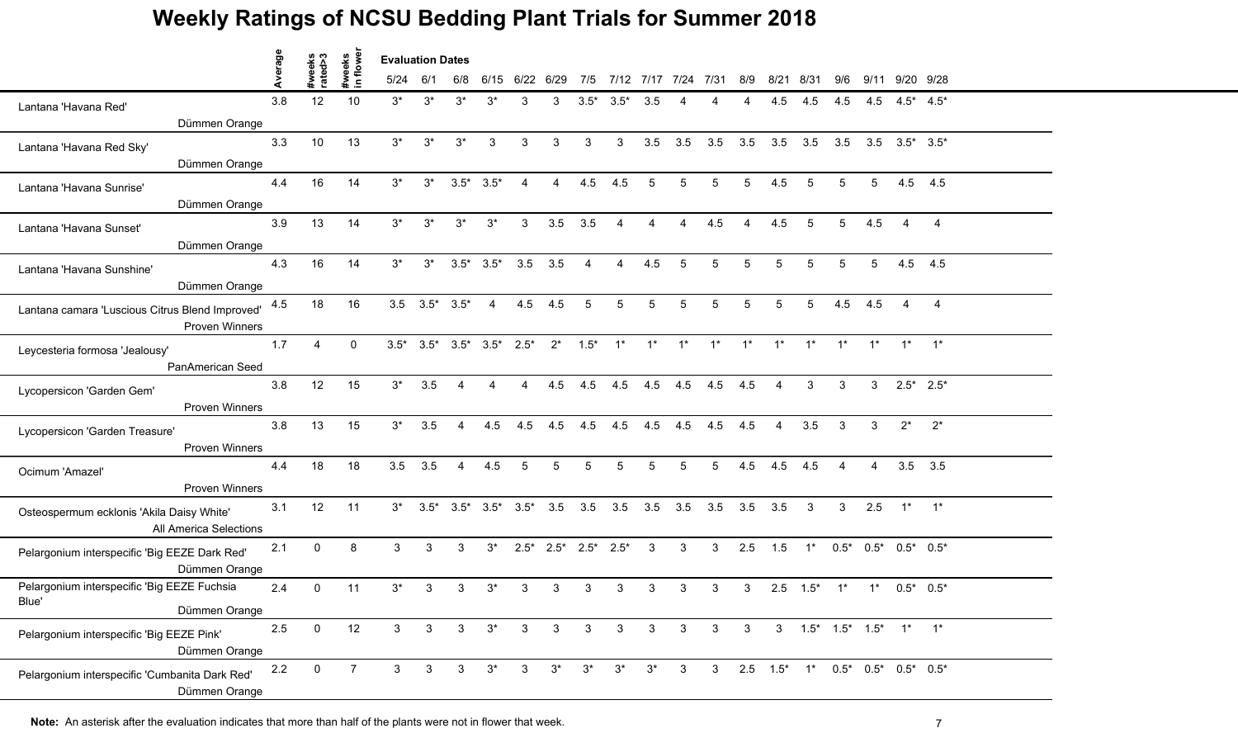|                                                                          | Average |                   |                    | <b>Evaluation Dates</b> |                       |                |                                         |                                       |                |                                 |                 |                 |                     |                   |                        |                        |                                                  |                |                |                        |                |  |
|--------------------------------------------------------------------------|---------|-------------------|--------------------|-------------------------|-----------------------|----------------|-----------------------------------------|---------------------------------------|----------------|---------------------------------|-----------------|-----------------|---------------------|-------------------|------------------------|------------------------|--------------------------------------------------|----------------|----------------|------------------------|----------------|--|
|                                                                          |         | #weeks<br>rated>3 | #weeks<br>in flowe | 5/24                    | -6/1                  | 6/8            |                                         | 6/15 6/22 6/29                        |                | 7/5                             |                 |                 | 7/12 7/17 7/24 7/31 |                   | 8/9                    |                        | 8/21 8/31                                        | 9/6            |                | 9/11 9/20 9/28         |                |  |
| Lantana 'Havana Red'                                                     | 3.8     | 12                | 10                 | $3^*$                   | $3^*$                 | $3^*$          | $3^*$                                   | 3                                     | 3              |                                 | $3.5^*$ $3.5^*$ | 3.5             |                     |                   |                        | 4.5                    | 4.5                                              | 4.5            | 4.5            | $4.5^*$ $4.5^*$        |                |  |
| Dümmen Orange                                                            |         |                   |                    |                         |                       |                |                                         |                                       |                |                                 |                 |                 |                     |                   |                        |                        |                                                  |                |                |                        |                |  |
| Lantana 'Havana Red Sky'                                                 | 3.3     | 10                | 13                 | $3^*$                   | $3^*$                 | $3^*$          | 3                                       | $\mathbf{3}$                          | 3              | 3                               | 3               | 3.5             | 3.5                 | 3.5               | 3.5                    |                        | $3.5$ $3.5$                                      | 3.5            |                | $3.5$ $3.5^*$ $3.5^*$  |                |  |
| Dümmen Orange                                                            |         |                   |                    |                         |                       |                |                                         |                                       |                |                                 |                 |                 |                     |                   |                        |                        |                                                  |                |                |                        |                |  |
| Lantana 'Havana Sunrise'                                                 | 4.4     | 16                | 14                 | $3^*$                   | $3^*$                 |                | $3.5^*$ $3.5^*$                         | $\overline{4}$                        | $\overline{A}$ | 4.5                             | 4.5             | 5               | 5                   | 5                 | 5                      | 4.5                    | $5^{\circ}$                                      | $5^{\circ}$    | 5              |                        | 4.5 4.5        |  |
| Dümmen Orange                                                            |         |                   |                    |                         |                       |                |                                         |                                       |                |                                 |                 |                 |                     |                   |                        |                        |                                                  |                |                |                        |                |  |
| Lantana 'Havana Sunset'                                                  | 3.9     | 13                | 14                 | $3^*$                   | $3^*$                 | $3^*$          | $3^*$                                   | 3 <sup>1</sup>                        | 3.5            | 3.5                             | 4               |                 | 4                   | 4.5               | $\boldsymbol{\Lambda}$ | 4.5                    | 5                                                | 5              | 4.5            |                        | $\overline{4}$ |  |
| Dümmen Orange                                                            |         |                   |                    |                         |                       |                |                                         |                                       |                |                                 |                 |                 |                     |                   |                        |                        |                                                  |                |                |                        |                |  |
| Lantana 'Havana Sunshine'                                                | 4.3     | 16                | 14                 | $3^*$                   | $3^*$                 |                | $3.5^*$ $3.5^*$                         | 3.5                                   | 3.5            |                                 |                 | 4.5             | 5                   | 5.                | 5                      | 5                      | 5                                                | 5              | 5              | 4.5                    | 4.5            |  |
| Dümmen Orange                                                            |         |                   |                    |                         |                       |                |                                         |                                       |                |                                 |                 |                 |                     |                   |                        |                        |                                                  |                |                |                        |                |  |
| Lantana camara 'Luscious Citrus Blend Improved'<br><b>Proven Winners</b> | 4.5     | 18                | 16                 |                         | $3.5$ $3.5^*$ $3.5^*$ |                | $\overline{4}$                          | 4.5                                   | 4.5            | $\overline{5}$                  | $\overline{5}$  | $5\overline{)}$ | $5\phantom{.0}$     | $5\phantom{.0}$   | $5\phantom{.0}$        | 5                      | $5^{\circ}$                                      | 4.5            | 4.5            | $\boldsymbol{\Lambda}$ | $\overline{4}$ |  |
| Leycesteria formosa 'Jealousy'                                           | 1.7     | 4                 | $\mathbf{0}$       |                         |                       |                | $3.5^*$ $3.5^*$ $3.5^*$ $3.5^*$ $2.5^*$ |                                       | $2^*$          | $1.5*$                          | $1^*$           | $1^*$           | $1^*$               | $1^*$             | $1^*$                  | $1^*$                  | $1^*$                                            | $1^*$          | $1^*$          |                        | $1^*$ $1^*$    |  |
| PanAmerican Seed                                                         |         |                   |                    |                         |                       |                |                                         |                                       |                |                                 |                 |                 |                     |                   |                        |                        |                                                  |                |                |                        |                |  |
| Lycopersicon 'Garden Gem'<br><b>Proven Winners</b>                       | 3.8     | 12                | 15                 | $3^*$                   | 3.5                   |                | 4                                       | $\overline{4}$                        | 4.5            | 4.5                             | 4.5             | 4.5             | 4.5                 | 4.5               | 4.5                    | $\overline{4}$         | 3                                                | 3              | $\mathbf{3}$   | $2.5^*$ 2.5*           |                |  |
| Lycopersicon 'Garden Treasure'                                           | 3.8     | 13                | 15                 | $3^*$                   | 3.5                   | 4              | 4.5                                     | 4.5                                   | 4.5            | 4.5                             | 4.5             | 4.5             | 4.5                 | 4.5               | 4.5                    | $\boldsymbol{\Lambda}$ | 3.5                                              | 3              | 3              | $2^*$                  | $2^{*}$        |  |
| Proven Winners                                                           |         |                   |                    |                         |                       |                |                                         |                                       |                |                                 |                 |                 |                     |                   |                        |                        |                                                  |                |                |                        |                |  |
| Ocimum 'Amazel'<br><b>Proven Winners</b>                                 | 4.4     | 18                | 18                 | 3.5                     | 3.5                   | $\overline{4}$ | 4.5                                     | 5                                     | 5              | 5                               | 5               | 5               | 5                   | $5\phantom{.0}$   | 4.5                    | 4.5                    | 4.5                                              | $\overline{4}$ | $\overline{4}$ | 3.5                    | 3.5            |  |
| Osteospermum ecklonis 'Akila Daisy White'<br>All America Selections      | 3.1     | 12                | 11                 | $3^*$                   |                       |                |                                         | $3.5^*$ $3.5^*$ $3.5^*$ $3.5^*$ $3.5$ |                |                                 | 3.5 3.5 3.5 3.5 |                 |                     | $3.5$ $3.5$ $3.5$ |                        |                        | $\overline{\mathbf{3}}$                          | 3              | 2.5            | $1^*$ $1^*$            |                |  |
| Pelargonium interspecific 'Big EEZE Dark Red'<br>Dümmen Orange           | 2.1     | $\mathbf{0}$      | 8                  | 3                       | 3                     | 3              | $3^*$                                   |                                       |                | $2.5^*$ $2.5^*$ $2.5^*$ $2.5^*$ |                 | $\mathbf{3}$    | $\mathbf{3}$        | 3 <sup>1</sup>    | 2.5                    |                        | $1.5$ 1* $0.5$ * $0.5$ * $0.5$ * $0.5$ * $0.5$ * |                |                |                        |                |  |
| Pelargonium interspecific 'Big EEZE Fuchsia<br>Blue'<br>Dümmen Orange    | 2.4     | $\mathbf 0$       | 11                 | $3^*$                   | 3                     | 3              | $3^*$                                   | 3                                     | 3              | 3                               | 3               | 3               | 3                   | 3                 | 3                      |                        | $2.5$ $1.5^*$                                    | $1^*$          |                | $1^*$ 0.5* 0.5*        |                |  |
| Pelargonium interspecific 'Big EEZE Pink'<br>Dümmen Orange               | 2.5     | $\mathbf 0$       | 12                 | 3 <sup>1</sup>          | 3                     | $3^{\circ}$    | $3^*$                                   | 3 <sup>3</sup>                        | $\overline{3}$ | $\mathbf{3}$                    | $\mathbf{3}$    | $\mathbf{3}$    | $\mathbf{3}$        | 3 <sup>1</sup>    |                        |                        | 3 3 1.5* 1.5* 1.5* 1* 1*                         |                |                |                        |                |  |
| Pelargonium interspecific 'Cumbanita Dark Red'<br>Dümmen Orange          | 2.2     | $\mathbf 0$       | $\overline{7}$     | 3 <sup>1</sup>          | $\mathbf{3}$          | 3 <sup>1</sup> | $3^*$                                   | 3 <sup>1</sup>                        | $3^*$          | $3^*$                           | $3^*$           | $3^*$           | $\mathbf{3}$        | 3 <sup>7</sup>    |                        |                        | 2.5 1.5* 1* 0.5* 0.5* 0.5* 0.5*                  |                |                |                        |                |  |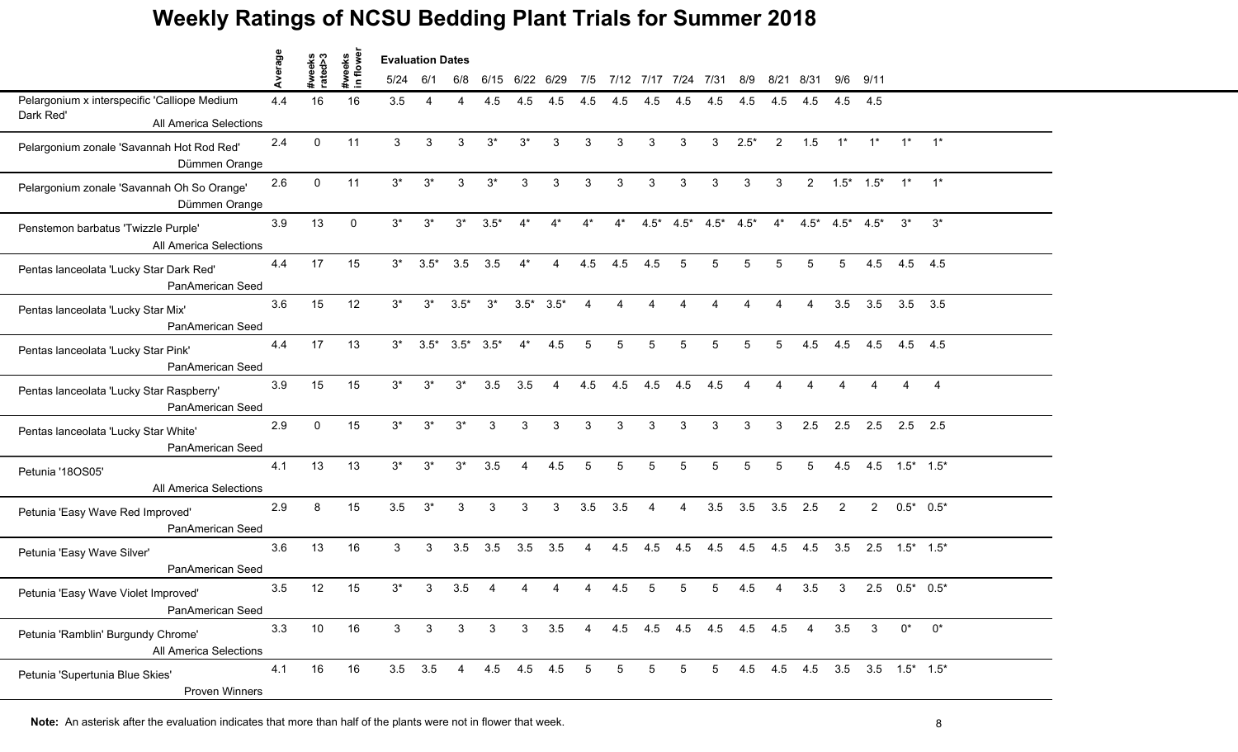|                                                               |         |                   |                     | <b>Evaluation Dates</b> |        |        |                         |                |                |                        |                    |                         |                |                                 |                        |                   |                               |                                 |                             |              |             |  |
|---------------------------------------------------------------|---------|-------------------|---------------------|-------------------------|--------|--------|-------------------------|----------------|----------------|------------------------|--------------------|-------------------------|----------------|---------------------------------|------------------------|-------------------|-------------------------------|---------------------------------|-----------------------------|--------------|-------------|--|
|                                                               | Average | #weeks<br>rated>3 | #weeks<br>in flower | 5/24                    | 6/1    | 6/8    | 6/15                    | 6/22 6/29      |                |                        |                    | 7/5 7/12 7/17 7/24 7/31 |                |                                 |                        | 8/9 8/21 8/31     |                               |                                 | $9/6$ $9/11$                |              |             |  |
| Pelargonium x interspecific 'Calliope Medium<br>Dark Red'     | 4.4     | 16                | 16                  | 3.5                     |        |        | 4.5                     | 4.5            | 4.5            | 4.5                    | 4.5                | 4.5                     | 4.5            | 4.5                             | 4.5                    | 4.5               | 4.5                           |                                 | 4.5 4.5                     |              |             |  |
| All America Selections                                        |         |                   |                     |                         |        |        |                         |                |                |                        |                    |                         |                |                                 |                        |                   |                               |                                 |                             |              |             |  |
| Pelargonium zonale 'Savannah Hot Rod Red'<br>Dümmen Orange    | 2.4     | $\Omega$          | 11                  | 3                       | 3      | 3      | $3^*$                   | $3^*$          | 3              | 3                      | 3                  | 3                       | 3              | 3                               | $2.5*$                 | 2                 | 1.5                           | $1^*$                           | $1^*$                       |              | $1^*$ $1^*$ |  |
| Pelargonium zonale 'Savannah Oh So Orange'<br>Dümmen Orange   | 2.6     | $\Omega$          | 11                  | $3^*$                   | $3^*$  | 3      | $3^*$                   | 3              | 3              | 3                      | 3                  | 3                       | 3              | 3                               | 3                      | 3                 |                               | $2 \t1.5^* \t1.5^* \t1^* \t1^*$ |                             |              |             |  |
| Penstemon barbatus 'Twizzle Purple'<br>All America Selections | 3.9     | 13                | $\Omega$            | $3^*$                   | $3^*$  | $3^*$  | $3.5*$                  | $4^*$          | $4^*$          | $4^*$                  | $4^*$              |                         |                | $4.5^*$ $4.5^*$ $4.5^*$ $4.5^*$ |                        |                   | $4^*$ $4.5^*$ $4.5^*$ $4.5^*$ |                                 |                             | $3^*$        | $3^*$       |  |
| Pentas lanceolata 'Lucky Star Dark Red'<br>PanAmerican Seed   | 4.4     | 17                | 15                  | $3^*$                   | $3.5*$ | 3.5    | 3.5                     |                |                | 4.5                    | 4.5                | 4.5                     |                | 5                               | 5                      | 5                 | 5                             |                                 | 4.5                         | 4.5 4.5      |             |  |
| Pentas lanceolata 'Lucky Star Mix'<br>PanAmerican Seed        | 3.6     | 15                | 12                  | $3^*$                   | $3^*$  | $3.5*$ | $3^*$                   | $3.5*$         | $3.5*$         | $\boldsymbol{\Lambda}$ | $\mathbf{\Lambda}$ | $\boldsymbol{\Lambda}$  |                |                                 |                        |                   | $\Delta$                      | 3.5                             | 3.5                         |              | $3.5$ $3.5$ |  |
| Pentas lanceolata 'Lucky Star Pink'<br>PanAmerican Seed       | 4.4     | 17                | 13                  | $3^*$                   |        |        | $3.5^*$ $3.5^*$ $3.5^*$ | $4^*$          | 4.5            | 5                      | 5                  | 5                       | 5              | 5                               | 5                      | 5                 | 4.5                           | 4.5                             | 4.5                         | 4.5 4.5      |             |  |
| Pentas lanceolata 'Lucky Star Raspberry'<br>PanAmerican Seed  | 3.9     | 15                | 15                  | $3^*$                   | $3^*$  | $3^*$  | 3.5                     | 3.5            | $\overline{4}$ | 4.5                    |                    | 4.5 4.5                 | 4.5            | 4.5                             | $\boldsymbol{\Lambda}$ |                   |                               |                                 |                             |              | 4           |  |
| Pentas lanceolata 'Lucky Star White'<br>PanAmerican Seed      | 2.9     | $\Omega$          | 15                  | $3^*$                   | $3^*$  | $3^*$  | 3                       | 3              | З              |                        | 3                  | З                       | 3              | 3                               | 3                      | 3                 | 2.5                           | 2.5                             | 2.5                         | $2.5$ 2.5    |             |  |
| Petunia '18OS05'<br>All America Selections                    | 4.1     | 13                | 13                  | $3^*$                   | $3^*$  | $3^*$  | 3.5                     | $\overline{A}$ | 4.5            | 5                      | 5                  | 5                       | 5              | 5                               | 5                      | 5                 | 5                             | 4.5                             | 4.5                         | $1.5^*$ 1.5* |             |  |
| Petunia 'Easy Wave Red Improved'<br>PanAmerican Seed          | 2.9     | 8                 | 15                  | 3.5                     | $3^*$  | 3      | 3                       | 3              | 3              | 3.5                    | 3.5                | $\overline{4}$          | $\overline{4}$ | 3.5                             |                        | $3.5$ $3.5$ $2.5$ |                               | $\overline{2}$                  | $2^{\circ}$                 | $0.5^*$ 0.5* |             |  |
| Petunia 'Easy Wave Silver'<br>PanAmerican Seed                | 3.6     | 13                | 16                  | 3                       | 3      | 3.5    | 3.5                     | 3.5            | 3.5            | $\overline{4}$         | 4.5                | 4.5                     | 4.5            | 4.5                             | 4.5                    | 4.5               | 4.5                           |                                 | $3.5$ $2.5$ $1.5^*$ $1.5^*$ |              |             |  |
| Petunia 'Easy Wave Violet Improved'<br>PanAmerican Seed       | 3.5     | 12                | 15                  | 3*                      | 3      | 3.5    |                         |                |                |                        | 4.5                | 5                       |                | 5.                              | 4.5                    |                   | 3.5                           | 3                               | 2.5                         | $0.5^*$ 0.5* |             |  |
| Petunia 'Ramblin' Burgundy Chrome'<br>All America Selections  | 3.3     | 10                | 16                  | 3                       | 3      | 3      | 3                       | 3 <sup>1</sup> |                |                        |                    |                         |                | 3.5 4 4.5 4.5 4.5 4.5 4.5 4.5   |                        |                   | $\overline{4}$                | 3.5                             | 3                           | 0*           | $0^*$       |  |
| Petunia 'Supertunia Blue Skies'<br>Proven Winners             | 4.1     | 16                | 16                  | $3.5$ $3.5$             |        | 4      |                         | 4.5 4.5 4.5    |                | 5                      | 5                  | $5^{\circ}$             | 5              | $5^{\circ}$                     |                        |                   | 4.5 4.5 4.5 3.5 3.5 1.5* 1.5* |                                 |                             |              |             |  |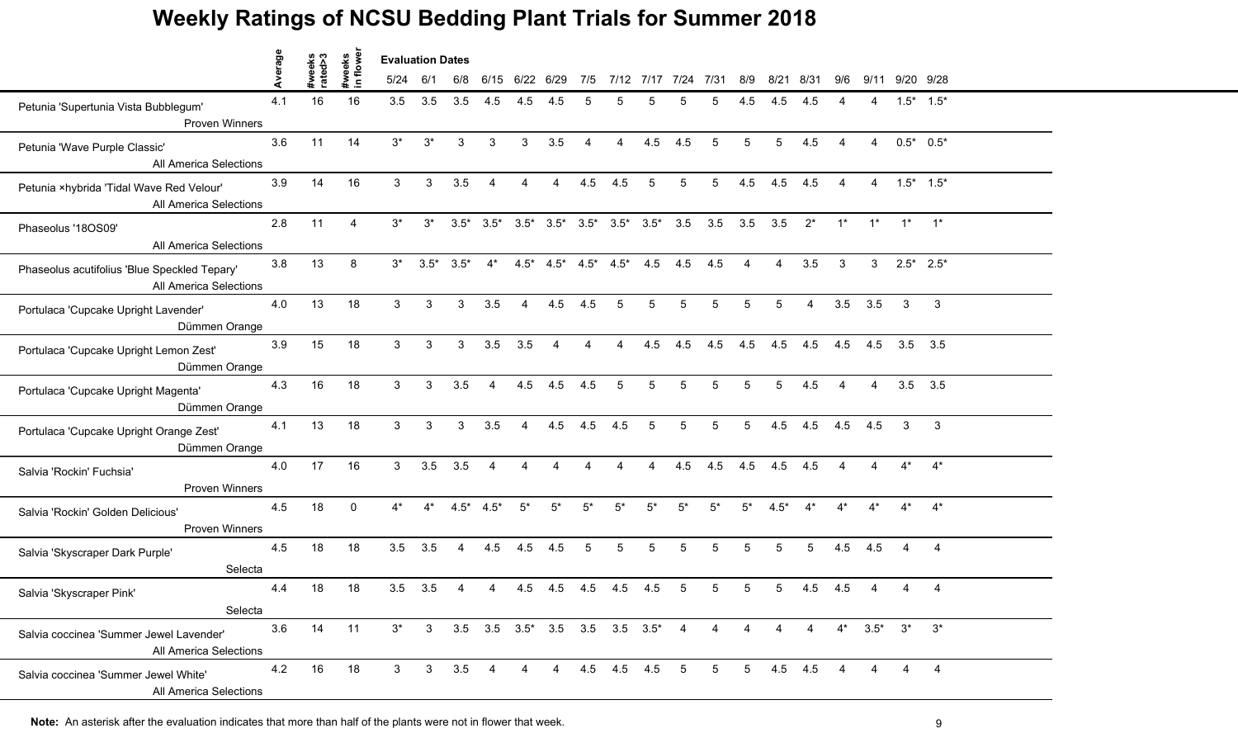|                                                                               | Average |                   | weeks<br>1 flower | <b>Evaluation Dates</b> |                |                |                        |                |                        |                        |                                                         |       |                 |                 |                 |                |                |                        |                        |                |                 |  |
|-------------------------------------------------------------------------------|---------|-------------------|-------------------|-------------------------|----------------|----------------|------------------------|----------------|------------------------|------------------------|---------------------------------------------------------|-------|-----------------|-----------------|-----------------|----------------|----------------|------------------------|------------------------|----------------|-----------------|--|
|                                                                               |         | #weeks<br>rated>3 | $\mathbf{C}$      | 5/24                    | 6/1            | 6/8            | 6/15                   | 6/22 6/29      |                        | 7/5                    | 7/12                                                    | 7/17  | 7/24            | 7/31            | 8/9             | 8/21           | -8/31          | 9/6                    |                        | 9/11 9/20 9/28 |                 |  |
| Petunia 'Supertunia Vista Bubblegum'<br><b>Proven Winners</b>                 | 4.1     | 16                | 16                | 3.5                     | 3.5            | 3.5            | 4.5                    | 4.5            | 4.5                    | 5                      |                                                         |       |                 | 5               | 4.5             | 4.5            | 4.5            |                        |                        |                | $1.5^*$ $1.5^*$ |  |
| Petunia 'Wave Purple Classic'<br>All America Selections                       | 3.6     | 11                | 14                | $3^*$                   | $3^*$          | 3              | $\mathbf{3}$           | 3              | 3.5                    | $\overline{4}$         | $\overline{4}$                                          | 4.5   | 4.5             | $5\phantom{.0}$ | $5\phantom{.0}$ | 5              | 4.5            | $\boldsymbol{\Lambda}$ | $\overline{4}$         |                | $0.5^*$ 0.5*    |  |
| Petunia ×hybrida 'Tidal Wave Red Velour'<br>All America Selections            | 3.9     | 14                | 16                | 3                       | 3              | 3.5            | $\boldsymbol{\Lambda}$ | 4              | $\overline{4}$         | 4.5                    | 4.5                                                     | 5     | 5               | 5 <sup>5</sup>  | 4.5             | 4.5            | 4.5            | 4                      | $\boldsymbol{\Lambda}$ |                | $1.5^*$ $1.5^*$ |  |
| Phaseolus '18OS09'<br><b>All America Selections</b>                           | 2.8     | 11                | $\overline{4}$    | $3^*$                   | $3^*$          |                |                        |                |                        |                        | $3.5^*$ $3.5^*$ $3.5^*$ $3.5^*$ $3.5^*$ $3.5^*$ $3.5^*$ |       | 3.5             | 3.5             | $3.5\quad 3.5$  |                | $2^*$          | $1^*$                  | $1^*$                  | $1^*$ $1^*$    |                 |  |
| Phaseolus acutifolius 'Blue Speckled Tepary'<br><b>All America Selections</b> | 3.8     | 13                | 8                 | $3^*$                   | $3.5*$         | $3.5*$         | $4^*$                  | $4.5*$         |                        | $4.5^*$ $4.5^*$        | $4.5*$                                                  | 4.5   | 4.5             | 4.5             |                 |                | 3.5            | 3                      | 3                      | $2.5^*$ 2.5*   |                 |  |
| Portulaca 'Cupcake Upright Lavender'<br>Dümmen Orange                         | 4.0     | 13                | 18                | 3 <sup>1</sup>          | 3              | 3              | 3.5                    | $\overline{4}$ | 4.5                    | 4.5                    | 5                                                       | 5     | $5\phantom{.0}$ | 5               | $5\phantom{.0}$ | 5              | $\overline{4}$ | 3.5                    | 3.5                    | $\mathbf{3}$   | 3               |  |
| Portulaca 'Cupcake Upright Lemon Zest'<br>Dümmen Orange                       | 3.9     | 15                | 18                | 3                       | 3              | 3              | 3.5                    | 3.5            | $\boldsymbol{\Lambda}$ | 4                      | $\boldsymbol{\Lambda}$                                  | 4.5   | 4.5             | 4.5             | 4.5             | 4.5            | 4.5            | 4.5                    | 4.5                    | $3.5$ $3.5$    |                 |  |
| Portulaca 'Cupcake Upright Magenta'<br>Dümmen Orange                          | 4.3     | 16                | 18                | 3                       | 3              | 3.5            | $\overline{4}$         | 4.5            | 4.5                    | 4.5                    | 5                                                       | 5     | 5               | 5               | 5               | 5              | 4.5            | 4                      | 4                      | 3.5            | 3.5             |  |
| Portulaca 'Cupcake Upright Orange Zest'<br>Dümmen Orange                      | 4.1     | 13                | 18                | 3                       | 3              | 3              | 3.5                    | 4              | 4.5                    | 4.5                    | 4.5                                                     | 5     | 5               | 5               | 5               | 4.5            | 4.5            | 4.5                    | 4.5                    | 3              | 3               |  |
| Salvia 'Rockin' Fuchsia'<br><b>Proven Winners</b>                             | 4.0     | 17                | 16                | 3                       | 3.5            | 3.5            | $\overline{4}$         | 4              | $\boldsymbol{\Lambda}$ | $\boldsymbol{\Lambda}$ | $\boldsymbol{\Lambda}$                                  | 4     | 4.5             | 4.5             | 4.5             | 4.5            | 4.5            | $\overline{4}$         | $\boldsymbol{\Lambda}$ | $4^*$          | $4^*$           |  |
| Salvia 'Rockin' Golden Delicious'<br><b>Proven Winners</b>                    | 4.5     | 18                | $\mathbf{0}$      | $4^*$                   | $4^*$          |                | $4.5^*$ $4.5^*$        | $5^*$          | $5^*$                  | $5^*$                  | $5^*$                                                   | $5^*$ | $5*$            | $5^*$           | $5^*$           | $4.5*$         | $4^*$          | $4^*$                  | $4^*$                  |                | $4^*$           |  |
| Salvia 'Skyscraper Dark Purple'<br>Selecta                                    | 4.5     | 18                | 18                | 3.5                     | 3.5            | $\overline{4}$ | 4.5                    | 4.5            | 4.5                    | $5\phantom{.0}$        | 5                                                       | 5     | 5               | 5               | 5               | 5              | 5              | 4.5                    | 4.5                    | 4              | $\overline{4}$  |  |
| Salvia 'Skyscraper Pink'<br>Selecta                                           | 4.4     | 18                | 18                | 3.5                     | 3.5            | 4              |                        | 4.5            | 4.5                    | 4.5                    | 4.5                                                     | 4.5   | 5               | 5               | 5               | 5.             | 4.5            | 4.5                    |                        |                | $\overline{4}$  |  |
| Salvia coccinea 'Summer Jewel Lavender'<br>All America Selections             | 3.6     | 14                | 11                | $3^*$                   |                |                |                        |                |                        |                        | 3 3.5 3.5 3.5* 3.5 3.5 3.5 3.5*                         |       | $\overline{4}$  | $\overline{4}$  | 4               | $\overline{4}$ | $\overline{4}$ | $4^*$                  | $3.5^*$ $3^*$          |                | $3^*$           |  |
| Salvia coccinea 'Summer Jewel White'<br>All America Selections                | 4.2     | 16                | 18                | 3                       | 3 <sup>1</sup> | 3.5            | $\overline{4}$         | $\overline{4}$ | $\overline{4}$         |                        | 4.5 4.5 4.5                                             |       | $5^{\circ}$     |                 | $5\qquad 5$     |                | $4.5$ $4.5$    |                        |                        |                | $\overline{4}$  |  |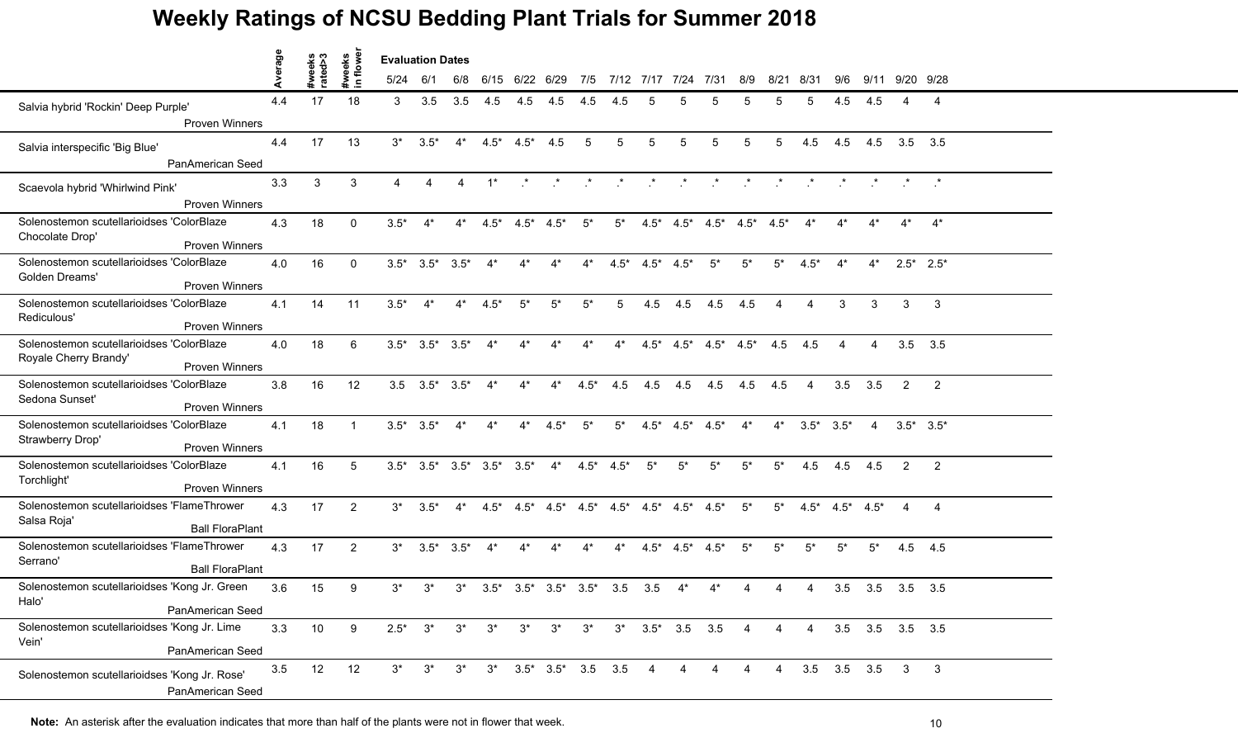|                                                                                             | verage |                   |                    | <b>Evaluation Dates</b> |                         |                |                                 |                                     |              |                 |        |        |                                 |                |                 |                |                |                          |                 |                         |                 |  |
|---------------------------------------------------------------------------------------------|--------|-------------------|--------------------|-------------------------|-------------------------|----------------|---------------------------------|-------------------------------------|--------------|-----------------|--------|--------|---------------------------------|----------------|-----------------|----------------|----------------|--------------------------|-----------------|-------------------------|-----------------|--|
|                                                                                             | ⋖      | #weeks<br>rated>3 | #weeks<br>in flowe | 5/24                    | 6/1                     | 6/8            |                                 | 6/15 6/22 6/29                      |              | 7/5             |        |        | 7/12 7/17 7/24                  | 7/31           | 8/9             |                | 8/21 8/31      | 9/6                      |                 | 9/11 9/20 9/28          |                 |  |
| Salvia hybrid 'Rockin' Deep Purple'<br>Proven Winners                                       | 4.4    | 17                | 18                 | 3                       | 3.5                     | 3.5            | 4.5                             | 4.5                                 | 4.5          | 4.5             | 4.5    | 5      |                                 |                | 5               | 5              | 5              | 4.5                      | 4.5             |                         | 4               |  |
| Salvia interspecific 'Big Blue'                                                             | 4.4    | 17                | 13                 | $3^*$                   | $3.5*$                  | $4^*$          | $4.5*$                          | $4.5*$                              | 4.5          | 5               | 5      | 5      | 5                               | 5              | 5               | 5              | 4.5            | 4.5                      | 4.5             | 3.5                     | 3.5             |  |
| PanAmerican Seed<br>Scaevola hybrid 'Whirlwind Pink'                                        | 3.3    | 3                 | 3                  | 4                       | $\overline{4}$          | $\overline{4}$ | $1^*$                           | $\cdot$ *                           | $\mathbf{r}$ | $\star$ $\star$ |        |        |                                 |                |                 |                |                |                          |                 |                         |                 |  |
| <b>Proven Winners</b>                                                                       |        |                   |                    |                         |                         |                |                                 |                                     |              |                 |        |        |                                 |                |                 |                |                |                          |                 |                         |                 |  |
| Solenostemon scutellarioidses 'ColorBlaze<br>Chocolate Drop'<br><b>Proven Winners</b>       | 4.3    | 18                | $\mathbf{0}$       | $3.5*$                  | $4^*$                   | $4^*$          | $4.5^*$                         | $4.5^*$ $4.5^*$                     |              | $5^*$           | $5^*$  |        | $4.5^*$ $4.5^*$ $4.5^*$ $4.5^*$ |                |                 | $4.5*$         | $4^*$          | $4^*$                    | $4^*$           | $4^*$                   | $4^*$           |  |
| Solenostemon scutellarioidses 'ColorBlaze<br>Golden Dreams'<br><b>Proven Winners</b>        | 4.0    | 16                | $\Omega$           |                         | $3.5^*$ $3.5^*$         | $3.5*$         | $4^*$                           |                                     | 4*           | $4^*$           | $4.5*$ | $4.5*$ | $4.5*$                          | $5*$           | 5*              | $5*$           | $4.5*$         | $4*$                     | $4^*$           |                         | $2.5^*$ 2.5*    |  |
| Solenostemon scutellarioidses 'ColorBlaze<br>Rediculous'<br><b>Proven Winners</b>           | 4.1    | 14                | 11                 | $3.5*$                  | $4^*$                   | $4^*$          | $4.5*$                          | $5^*$                               | $5^*$        | $5^*$           | 5      | 4.5    | 4.5                             | 4.5            | 4.5             | $\overline{4}$ | $\overline{4}$ | 3                        | 3               | 3                       | $\mathbf{3}$    |  |
| Solenostemon scutellarioidses 'ColorBlaze<br>Royale Cherry Brandy'<br><b>Proven Winners</b> | 4.0    | 18                | 6                  |                         | $3.5^*$ $3.5^*$ $3.5^*$ |                | $4^*$                           | $4^*$                               | $4^*$        | $4^*$           | $4^*$  | $4.5*$ | $4.5*$                          |                | $4.5^*$ $4.5^*$ | 4.5            | 4.5            | $\boldsymbol{\varDelta}$ | 4               |                         | $3.5$ $3.5$     |  |
| Solenostemon scutellarioidses 'ColorBlaze<br>Sedona Sunset'<br><b>Proven Winners</b>        | 3.8    | 16                | 12                 |                         | $3.5$ $3.5^*$ $3.5^*$   |                | $4^*$                           | $4^*$                               | $4^*$        | $4.5*$          | 4.5    | 4.5    | 4.5                             | 4.5            | 4.5             | 4.5            | $\overline{4}$ | 3.5                      | 3.5             | 2                       | $\overline{2}$  |  |
| Solenostemon scutellarioidses 'ColorBlaze<br>Strawberry Drop'<br>Proven Winners             | 4.1    | 18                | $\overline{1}$     | $3.5*$                  | $3.5*$                  |                | $4*$                            | $4^*$                               | $4.5*$       | $5*$            | $5^*$  | $4.5*$ | $4.5*$                          | $4.5*$         | $4^*$           | $4^*$          | $3.5*$         | $3.5*$                   | $\overline{4}$  |                         | $3.5^*$ $3.5^*$ |  |
| Solenostemon scutellarioidses 'ColorBlaze<br>Torchlight'<br><b>Proven Winners</b>           | 4.1    | 16                | 5                  |                         |                         |                | $3.5^*$ $3.5^*$ $3.5^*$ $3.5^*$ | $3.5*$                              | $4^*$        | $4.5^*$ $4.5^*$ |        | $5^*$  | $5^*$                           | $5*$           | $5^*$           | $5^*$          | 4.5            | 4.5                      | 4.5             | $\overline{2}$          | $\overline{2}$  |  |
| Solenostemon scutellarioidses 'FlameThrower<br>Salsa Roja'<br><b>Ball FloraPlant</b>        | 4.3    | 17                | 2                  | $3^*$                   | $3.5*$                  | $4^*$          | $4.5*$                          | $4.5^*$ $4.5^*$                     |              | $4.5*$          | $4.5*$ | $4.5*$ | $4.5*$                          | $4.5*$         | $5*$            | $5^*$          | $4.5*$         |                          | $4.5^*$ $4.5^*$ | 4                       | $\overline{4}$  |  |
| Solenostemon scutellarioidses 'FlameThrower<br>Serrano'<br><b>Ball FloraPlant</b>           | 4.3    | 17                | $\overline{2}$     | $3^*$                   | $3.5*$                  | $3.5*$         | $4^*$                           | $4^*$                               | $4^*$        | $4^*$           | $4^*$  | $4.5*$ | $4.5*$                          | $4.5*$         | $5^*$           | $5^*$          | $5^*$          | $5^*$                    | $5^*$           | 4.5                     | 4.5             |  |
| Solenostemon scutellarioidses 'Kong Jr. Green<br>Halo'<br>PanAmerican Seed                  | 3.6    | 15                | 9                  | $3^*$                   | $3^*$                   | $3^*$          | $3.5*$                          | $3.5*$                              | $3.5*$       | $3.5*$          | 3.5    | 3.5    |                                 |                |                 |                |                | 3.5                      | 3.5             |                         | $3.5$ $3.5$     |  |
| Solenostemon scutellarioidses 'Kong Jr. Lime<br>Vein'<br>PanAmerican Seed                   | 3.3    | 10                | 9                  | $2.5*$                  | $3^*$                   | $3^*$          | $3^*$                           |                                     | $3^*$ $3^*$  | $3^*$           |        |        | $3^*$ $3.5^*$ $3.5$ $3.5$       |                | $\overline{4}$  | $\overline{4}$ | $\overline{4}$ |                          |                 | $3.5$ $3.5$ $3.5$ $3.5$ |                 |  |
| Solenostemon scutellarioidses 'Kong Jr. Rose'<br>PanAmerican Seed                           | 3.5    | 12                | 12                 | $3^*$                   | $3^*$                   | $3^*$          |                                 | $3^*$ $3.5^*$ $3.5^*$ $3.5$ $3.5$ 4 |              |                 |        |        | $\overline{4}$                  | $\overline{4}$ | $\overline{4}$  | $\overline{4}$ |                | $3.5$ $3.5$ $3.5$        |                 | $\overline{\mathbf{3}}$ | $\mathbf{3}$    |  |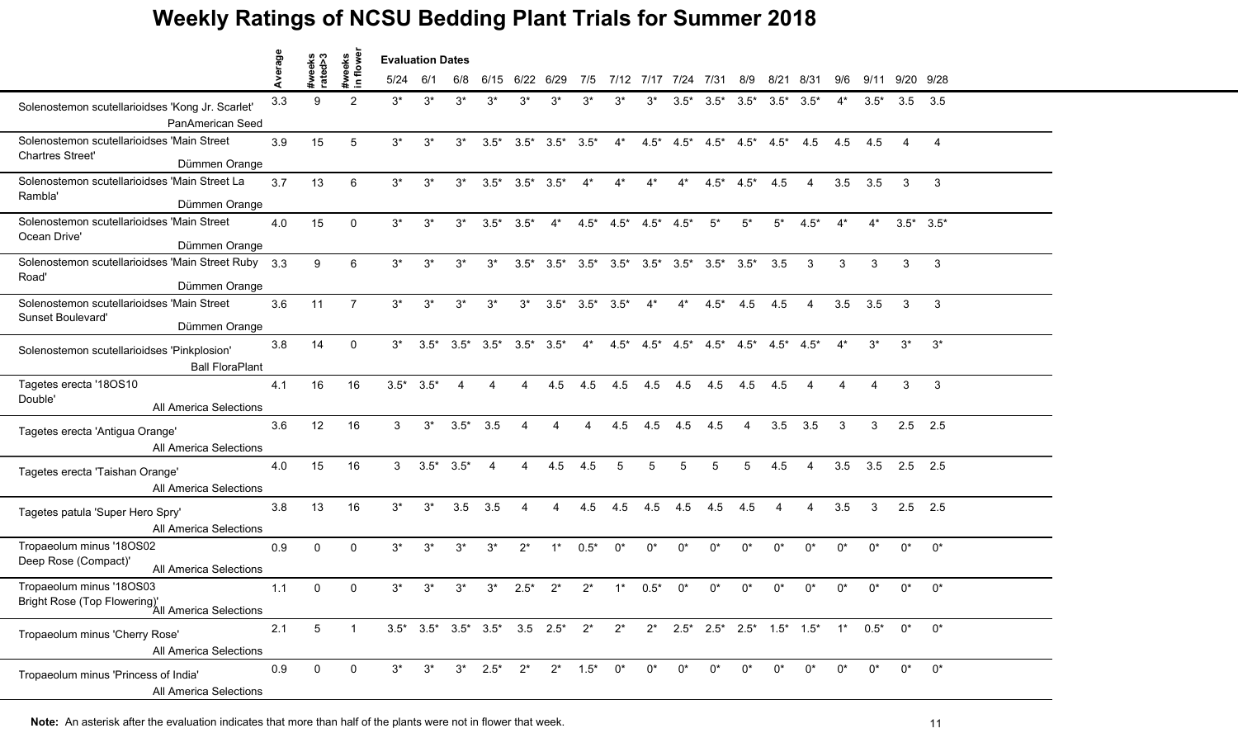|                                                                                        | erage |                   |                    | <b>Evaluation Dates</b> |                 |        |                                 |                         |                 |        |                                 |        |                     |                                                                        |                         |       |                |       |        |                 |                |  |
|----------------------------------------------------------------------------------------|-------|-------------------|--------------------|-------------------------|-----------------|--------|---------------------------------|-------------------------|-----------------|--------|---------------------------------|--------|---------------------|------------------------------------------------------------------------|-------------------------|-------|----------------|-------|--------|-----------------|----------------|--|
|                                                                                        |       | #weeks<br>rated>3 | #weeks<br>in flowe | 5/24                    | 6/1             | 6/8    |                                 | 6/15 6/22 6/29          |                 | 7/5    |                                 |        | 7/12 7/17 7/24 7/31 |                                                                        | 8/9                     |       | 8/21 8/31      | 9/6   |        | 9/11 9/20 9/28  |                |  |
| Solenostemon scutellarioidses 'Kong Jr. Scarlet'<br>PanAmerican Seed                   | 3.3   | 9                 | 2                  | $3^*$                   | $3^*$           | $3^*$  | $3^*$                           | $3^*$                   | $3^*$           | $3^*$  | $3^*$                           | $3^*$  | $3.5^*$             | $3.5*$                                                                 | $3.5^*$ $3.5^*$ $3.5^*$ |       |                | $4^*$ | $3.5*$ | $3.5$ $3.5$     |                |  |
| Solenostemon scutellarioidses 'Main Street<br><b>Chartres Street'</b><br>Dümmen Orange | 3.9   | 15                | 5                  | $3^*$                   | $3^*$           | $3^*$  | $3.5*$                          |                         | $3.5^*$ $3.5^*$ | $3.5*$ | $4^*$                           |        |                     | $4.5^*$ $4.5^*$ $4.5^*$ $4.5^*$ $4.5^*$ $4.5^*$ $4.5$                  |                         |       |                | 4.5   | 4.5    | $\overline{4}$  | $\overline{4}$ |  |
| Solenostemon scutellarioidses 'Main Street La<br>Rambla'<br>Dümmen Orange              | 3.7   | 13                | 6                  | $3^*$                   | $3^*$           | $3^*$  |                                 | $3.5^*$ $3.5^*$ $3.5^*$ |                 | $4^*$  | $4^*$                           | $4^*$  | $4^*$               |                                                                        | $4.5^*$ $4.5^*$         | 4.5   | $\overline{4}$ | 3.5   | 3.5    | 3               | $\mathbf{3}$   |  |
| Solenostemon scutellarioidses 'Main Street<br>Ocean Drive'<br>Dümmen Orange            | 4.0   | 15                | $\mathbf 0$        | $3^*$                   | $3^*$           | $3^*$  | $3.5*$                          | $3.5*$                  | $4^*$           |        | $4.5^*$ $4.5^*$ $4.5^*$ $4.5^*$ |        |                     | $5^*$                                                                  | $5^*$                   | $5^*$ | $4.5*$         | $4^*$ | $4^*$  | $3.5^*$ $3.5^*$ |                |  |
| Solenostemon scutellarioidses 'Main Street Ruby 3.3<br>Road'<br>Dümmen Orange          |       | 9                 | 6                  | $3^*$                   | $3^*$           | $3^*$  | $3^*$                           | $3.5*$                  | $3.5*$          |        |                                 |        |                     | $3.5^*$ $3.5^*$ $3.5^*$ $3.5^*$ $3.5^*$ $3.5^*$ $3.5^*$ $3.5$          |                         |       | 3              | 3     | 3      | 3               | 3              |  |
| Solenostemon scutellarioidses 'Main Street<br>Sunset Boulevard'<br>Dümmen Orange       | 3.6   | 11                | $\overline{7}$     | $3^*$                   | $3^*$           | $3^*$  | $3^*$                           | $3^*$                   | $3.5*$          |        | $3.5^*$ $3.5^*$                 | $4^*$  | $4^*$               |                                                                        | $4.5^*$ 4.5             | 4.5   | $\overline{4}$ | 3.5   | 3.5    | 3               | 3              |  |
| Solenostemon scutellarioidses 'Pinkplosion'<br><b>Ball FloraPlant</b>                  | 3.8   | 14                | $\mathbf{0}$       | $3^*$                   | $3.5^*$         |        | $3.5^*$ $3.5^*$ $3.5^*$ $3.5^*$ |                         |                 | $4^*$  |                                 |        |                     | $4.5^*$ $4.5^*$ $4.5^*$ $4.5^*$ $4.5^*$ $4.5^*$ $4.5^*$ $4.5^*$        |                         |       |                | $4^*$ | $3^*$  | $3^*$           | $3^*$          |  |
| Tagetes erecta '18OS10<br>Double'<br>All America Selections                            | 4.1   | 16                | 16                 |                         | $3.5^*$ $3.5^*$ | 4      | 4                               | $\overline{4}$          | 4.5             | 4.5    | 4.5                             | 4.5    | 4.5                 | 4.5                                                                    | 4.5                     | 4.5   | 4              | 4     | 4      | 3               | $\mathbf{3}$   |  |
| Tagetes erecta 'Antigua Orange'<br>All America Selections                              | 3.6   | 12                | 16                 | 3                       | $3^*$           | $3.5*$ | 3.5                             |                         |                 |        | 4.5                             | 4.5    | 4.5                 | 4.5                                                                    | 4                       | 3.5   | 3.5            | 3     | 3      | $2.5$ 2.5       |                |  |
| Tagetes erecta 'Taishan Orange'<br><b>All America Selections</b>                       | 4.0   | 15                | 16                 | 3                       | $3.5*$          | $3.5*$ | $\overline{4}$                  | $\overline{4}$          | 4.5             | 4.5    | 5                               | 5      | 5                   | 5                                                                      | 5                       | 4.5   | 4              | 3.5   | 3.5    | $2.5$ 2.5       |                |  |
| Tagetes patula 'Super Hero Spry'<br>All America Selections                             | 3.8   | 13                | 16                 | $3^*$                   | $3^*$           |        | $3.5$ $3.5$                     | 4                       | 4               | 4.5    | 4.5                             | 4.5    | 4.5                 | 4.5                                                                    | 4.5                     | 4     | 4              | 3.5   | 3      | $2.5$ 2.5       |                |  |
| Tropaeolum minus '18OS02<br>Deep Rose (Compact)'<br>All America Selections             | 0.9   | $\mathbf 0$       | $\mathbf 0$        | $3^*$                   | $3^*$           | $3^*$  | $3^*$                           | $2^*$                   | $1^*$           | $0.5*$ | $0^*$                           | $0^*$  | $0^*$               | $0^*$                                                                  | $0^*$                   | $0^*$ | $0^*$          | $0^*$ | $0^*$  | $0^*$           | $0^*$          |  |
| Tropaeolum minus '18OS03<br>Bright Rose (Top Flowering)'<br>All America Selections     | 1.1   | $\mathbf{0}$      | $\mathbf{0}$       | $3^*$                   | $3^*$           | 3*     | $3^*$                           | $2.5*$                  | $2^*$           | $2^*$  |                                 | $0.5*$ | በ*                  | በ*                                                                     | n*                      |       |                | n*    | n*     | $0^*$           | $0^*$          |  |
| Tropaeolum minus 'Cherry Rose'<br>All America Selections                               | 2.1   | 5 <sup>5</sup>    | $\mathbf{1}$       |                         |                 |        |                                 |                         |                 |        |                                 |        |                     | 3.5* 3.5* 3.5* 3.5* 3.5 2.5* 2* 2* 2* 2.5* 2.5* 2.5* 1.5* 1.5* 1* 0.5* |                         |       |                |       |        | $0^*$           | $0^*$          |  |
| Tropaeolum minus 'Princess of India'<br>All America Selections                         | 0.9   | 0                 | $\mathbf 0$        | $3^*$                   | $3^*$           |        | $3^*$ 2.5*                      | $2^*$                   | $2^*$           | $1.5*$ | $0^*$                           | $0^*$  | በ*                  | $0^*$                                                                  | $0^*$                   | $0^*$ | $0^*$          | $0^*$ | $0^*$  | $0^*$           | $0^*$          |  |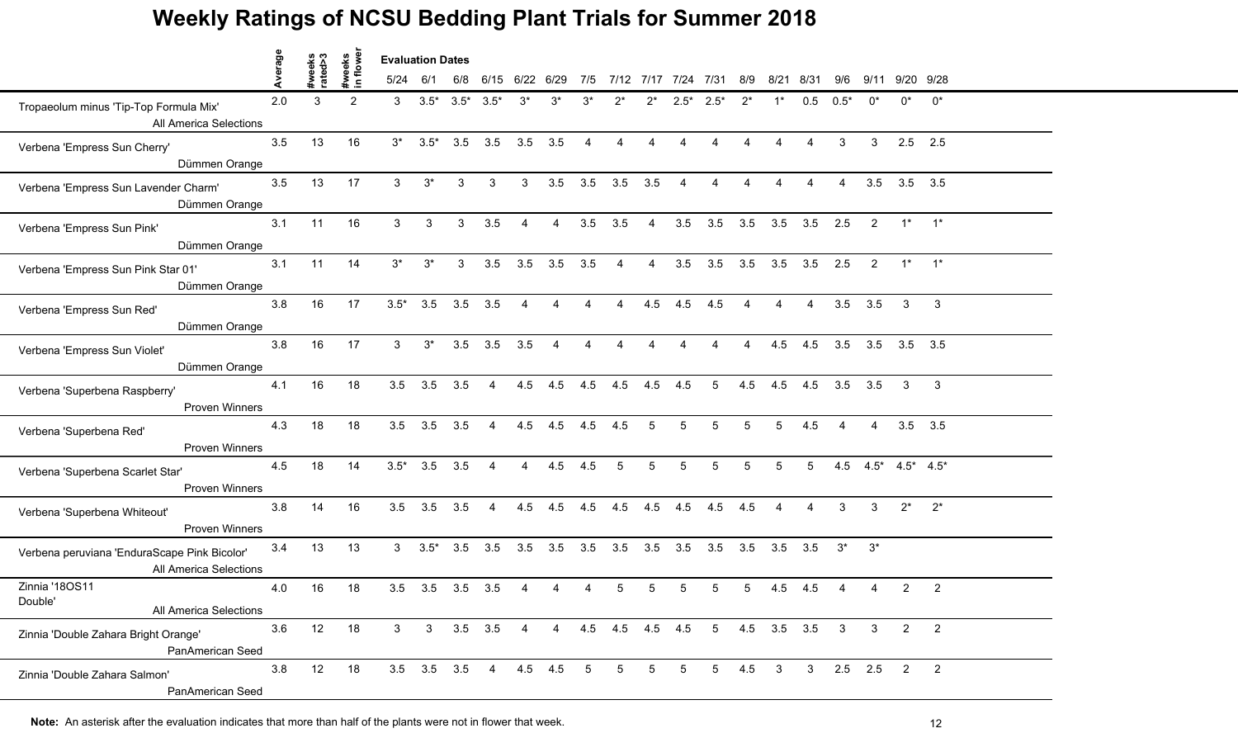|                                                                        |         |                   |                    | <b>Evaluation Dates</b> |                   |                 |                |                |                |                |                        |                |                |                                 |                 |                 |                 |                         |                          |                |                          |  |
|------------------------------------------------------------------------|---------|-------------------|--------------------|-------------------------|-------------------|-----------------|----------------|----------------|----------------|----------------|------------------------|----------------|----------------|---------------------------------|-----------------|-----------------|-----------------|-------------------------|--------------------------|----------------|--------------------------|--|
|                                                                        | Average | #weeks<br>rated>3 | #weeks<br>in flowe | 5/24                    | 6/1               | 6/8             |                | 6/15 6/22 6/29 |                | 7/5            | 7/12 7/17 7/24         |                |                | 7/31                            | 8/9             |                 | 8/21 8/31       | 9/6                     |                          | 9/11 9/20 9/28 |                          |  |
| Tropaeolum minus 'Tip-Top Formula Mix'<br>All America Selections       | 2.0     | 3                 | 2                  | 3                       | $3.5*$            | $3.5^*$ $3.5^*$ |                | $3^*$          | $3^*$          | $3^*$          | $2^*$                  | $2^*$          | $2.5*$         | $2.5^*$                         | $2^*$           | $1^*$           | 0.5             | $0.5*$                  | $0^*$                    | $0^*$          | $0^*$                    |  |
| Verbena 'Empress Sun Cherry'<br>Dümmen Orange                          | 3.5     | 13                | 16                 | $3^*$                   | $3.5*$            | 3.5             | 3.5            | 3.5            | 3.5            | $\overline{A}$ | $\overline{4}$         | $\overline{4}$ | $\overline{4}$ | $\overline{4}$                  | $\overline{A}$  | $\overline{4}$  | $\overline{4}$  | 3                       | 3                        | 2.5            | 2.5                      |  |
| Verbena 'Empress Sun Lavender Charm'<br>Dümmen Orange                  | 3.5     | 13                | 17                 | $\mathbf{3}$            | $3^*$             | 3               | 3              | 3 <sup>1</sup> | 3.5            |                | $3.5$ $3.5$            | 3.5            | $\overline{4}$ | $\overline{4}$                  | $\overline{4}$  | $\overline{4}$  | $\overline{4}$  | $\overline{4}$          | 3.5                      | $3.5$ $3.5$    |                          |  |
| Verbena 'Empress Sun Pink'<br>Dümmen Orange                            | 3.1     | 11                | 16                 | 3 <sup>1</sup>          | 3                 | 3               | 3.5            | $\overline{4}$ | $\overline{4}$ | 3.5            | 3.5                    | $\overline{4}$ | 3.5            | 3.5                             |                 | 3.5 3.5 3.5 2.5 |                 |                         | 2                        |                | $1^*$ $1^*$              |  |
| Verbena 'Empress Sun Pink Star 01'<br>Dümmen Orange                    | 3.1     | 11                | 14                 | $3^*$                   | $3^*$             | 3               | 3.5            | 3.5            | 3.5            | 3.5            | $\boldsymbol{\Lambda}$ | Δ              | 3.5            | 3.5                             | 3.5             |                 | $3.5$ $3.5$     | 2.5                     | $\overline{2}$           | $1^*$          | $1^*$                    |  |
| Verbena 'Empress Sun Red'<br>Dümmen Orange                             | 3.8     | 16                | 17                 | $3.5*$                  | 3.5               | 3.5             | 3.5            | $\overline{4}$ | $\overline{A}$ | $\overline{4}$ | $\overline{4}$         | 4.5            | 4.5            | 4.5                             | $\overline{4}$  | $\overline{4}$  | $\overline{4}$  | 3.5                     | 3.5                      | 3              | $\mathbf{3}$             |  |
| Verbena 'Empress Sun Violet'<br>Dümmen Orange                          | 3.8     | 16                | 17                 | $\mathbf{3}$            | $3^*$             | 3.5             | 3.5            | 3.5            | $\overline{A}$ | $\overline{A}$ | $\overline{4}$         | $\overline{4}$ | $\overline{4}$ | $\overline{4}$                  | $\overline{4}$  | 4.5             | 4.5             |                         | 3.5 3.5 3.5 3.5          |                |                          |  |
| Verbena 'Superbena Raspberry'<br>Proven Winners                        | 4.1     | 16                | 18                 | 3.5                     | 3.5               | 3.5             | $\overline{4}$ | 4.5            | 4.5            | 4.5            | 4.5                    | 4.5            | 4.5            | $5\overline{)}$                 | 4.5             |                 | 4.5 4.5         | $3.5\quad 3.5$          |                          | 3              | $\mathbf{3}$             |  |
| Verbena 'Superbena Red'<br>Proven Winners                              | 4.3     | 18                | 18                 | 3.5                     | 3.5               | 3.5             | 4              | 4.5            | 4.5            | 4.5            | 4.5                    | $\overline{5}$ | 5              | 5                               | 5               | 5               | 4.5             |                         | 4                        | $3.5$ $3.5$    |                          |  |
| Verbena 'Superbena Scarlet Star'<br><b>Proven Winners</b>              | 4.5     | 18                | 14                 | $3.5*$                  | 3.5               | 3.5             | 4              | $\overline{4}$ | 4.5            | 4.5            | 5                      | 5              | 5              | 5                               | $5\overline{)}$ | $5\phantom{.0}$ | $5\overline{)}$ |                         | 4.5 $4.5^*$ 4.5* $4.5^*$ |                |                          |  |
| Verbena 'Superbena Whiteout'<br>Proven Winners                         | 3.8     | 14                | 16                 | 3.5                     | 3.5               | 3.5             | $\overline{4}$ | 4.5            | 4.5            | 4.5            | 4.5                    |                | $4.5$ $4.5$    | 4.5                             | 4.5             | $\overline{4}$  | $\overline{4}$  | 3                       | 3                        | $2^*$          | $2^*$                    |  |
| Verbena peruviana 'EnduraScape Pink Bicolor'<br>All America Selections | 3.4     | 13                | 13                 | 3 <sup>1</sup>          | $3.5*$            | 3.5             | 3.5            | 3.5            | 3.5            | 3.5            | 3.5                    | 3.5            | 3.5            | 3.5                             | 3.5             |                 | $3.5\quad 3.5$  | $3^*$                   | $3^*$                    |                |                          |  |
| Zinnia '180S11<br>Double'<br>All America Selections                    | 4.0     | 16                | 18                 | 3.5                     | 3.5               | 3.5             | 3.5            |                |                |                | 5                      |                |                | 5                               | 5               | 4.5             | 4.5             |                         |                          | 2              | 2                        |  |
| Zinnia 'Double Zahara Bright Orange'<br>PanAmerican Seed               | 3.6     | 12                | 18                 | 3 <sup>1</sup>          | $\mathbf{3}$      |                 | $3.5$ $3.5$ 4  |                |                |                |                        |                |                | 4 4.5 4.5 4.5 4.5 5 4.5 3.5 3.5 |                 |                 |                 | $\overline{\mathbf{3}}$ | 3                        | $\overline{2}$ | $\overline{2}$           |  |
| Zinnia 'Double Zahara Salmon'<br>PanAmerican Seed                      | 3.8     | 12                | 18                 |                         | $3.5$ $3.5$ $3.5$ |                 | $\overline{4}$ | 4.5 4.5        |                | 5              | $5\phantom{.0}$        | 5              | $5^{\circ}$    | 5 <sup>5</sup>                  | $4.5\ 3$        |                 | $3^{\circ}$     |                         | $2.5$ 2.5                | $\overline{2}$ | $\overline{\phantom{a}}$ |  |